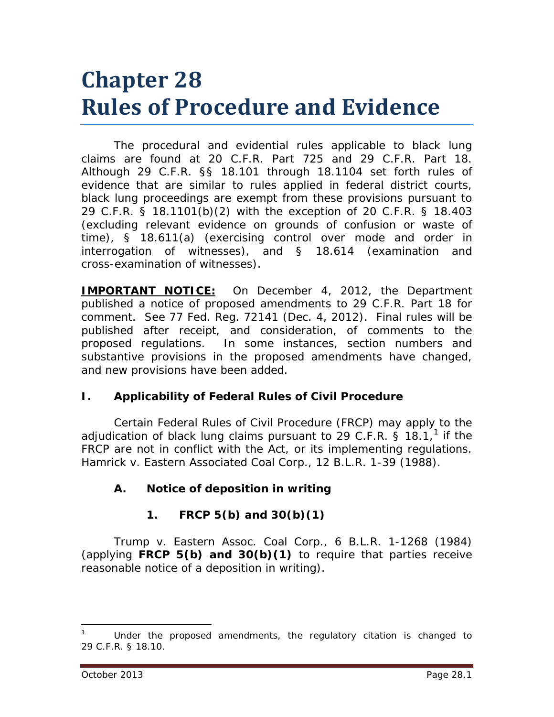# **Chapter 28 Rules of Procedure and Evidence**

The procedural and evidential rules applicable to black lung claims are found at 20 C.F.R. Part 725 and 29 C.F.R. Part 18. Although 29 C.F.R. §§ 18.101 through 18.1104 set forth rules of evidence that are similar to rules applied in federal district courts, black lung proceedings are exempt from these provisions pursuant to 29 C.F.R. § 18.1101(b)(2) with the exception of 20 C.F.R. § 18.403 (excluding relevant evidence on grounds of confusion or waste of time), § 18.611(a) (exercising control over mode and order in interrogation of witnesses), and § 18.614 (examination and cross-examination of witnesses).

**IMPORTANT NOTICE:** On December 4, 2012, the Department published a notice of proposed amendments to 29 C.F.R. Part 18 for comment. *See* 77 Fed. Reg. 72141 (Dec. 4, 2012). Final rules will be published after receipt, and consideration, of comments to the proposed regulations. In some instances, section numbers and substantive provisions in the proposed amendments have changed, and new provisions have been added.

## **I. Applicability of Federal Rules of Civil Procedure**

Certain Federal Rules of Civil Procedure (FRCP) may apply to the adjudication of black lung claims pursuant to 29 C.F.R. § [1](#page-0-0)8.1,<sup>1</sup> if the FRCP are not in conflict with the Act, or its implementing regulations. *Hamrick v. Eastern Associated Coal Corp.*, 12 B.L.R. 1-39 (1988).

## **A. Notice of deposition in writing**

# **1. FRCP 5(b) and 30(b)(1)**

*Trump v. Eastern Assoc. Coal Corp.*, 6 B.L.R. 1-1268 (1984) (applying **FRCP 5(b) and 30(b)(1)** to require that parties receive reasonable notice of a deposition in writing).

<span id="page-0-0"></span><sup>1</sup> Under the proposed amendments, the regulatory citation is changed to 29 C.F.R. § 18.10.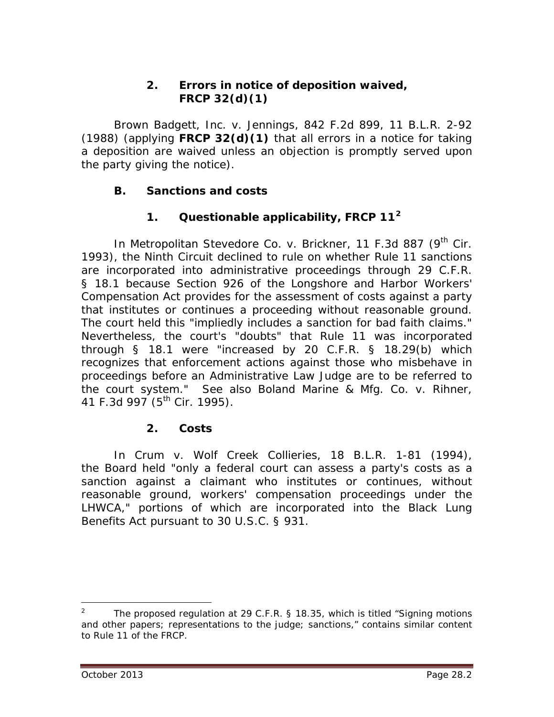## **2. Errors in notice of deposition waived, FRCP 32(d)(1)**

*Brown Badgett, Inc. v. Jennings*, 842 F.2d 899, 11 B.L.R. 2-92 (1988) (applying **FRCP 32(d)(1)** that all errors in a notice for taking a deposition are waived unless an objection is promptly served upon the party giving the notice).

## **B. Sanctions and costs**

## **1. Questionable applicability, FRCP 11[2](#page-1-0)**

In *Metropolitan Stevedore Co. v. Brickner*, 11 F.3d 887 (9<sup>th</sup> Cir. 1993), the Ninth Circuit declined to rule on whether Rule 11 sanctions are incorporated into administrative proceedings through 29 C.F.R. § 18.1 because Section 926 of the Longshore and Harbor Workers' Compensation Act provides for the assessment of costs against a party that institutes or continues a proceeding without reasonable ground. The court held this "impliedly includes a sanction for bad faith claims." Nevertheless, the court's "doubts" that Rule 11 was incorporated through § 18.1 were "increased by 20 C.F.R. § 18.29(b) which recognizes that enforcement actions against those who misbehave in proceedings before an Administrative Law Judge are to be referred to the court system." *See also Boland Marine & Mfg. Co. v. Rihner*, 41 F.3d 997 (5<sup>th</sup> Cir. 1995).

## **2. Costs**

In *Crum v. Wolf Creek Collieries*, 18 B.L.R. 1-81 (1994), the Board held "only a federal court can assess a party's costs as a sanction against a claimant who institutes or continues, without reasonable ground, workers' compensation proceedings under the LHWCA," portions of which are incorporated into the Black Lung Benefits Act pursuant to 30 U.S.C. § 931.

<span id="page-1-0"></span><sup>&</sup>lt;sup>2</sup> The proposed regulation at 29 C.F.R. § 18.35, which is titled "Signing motions" and other papers; representations to the judge; sanctions," contains similar content to Rule 11 of the FRCP.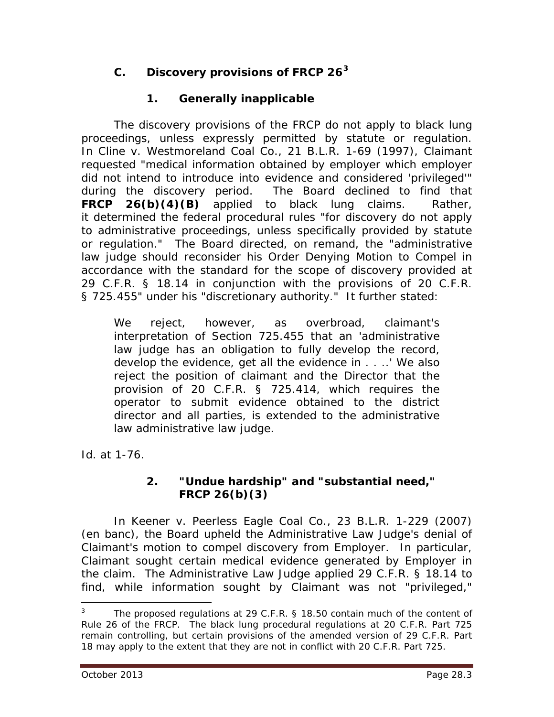# **C. Discovery provisions of FRCP 26[3](#page-2-0)**

# **1. Generally inapplicable**

The discovery provisions of the FRCP do not apply to black lung proceedings, unless expressly permitted by statute or regulation. In *Cline v. Westmoreland Coal Co.*, 21 B.L.R. 1-69 (1997), Claimant requested "medical information obtained by employer which employer did not intend to introduce into evidence and considered 'privileged'" during the discovery period. The Board declined to find that **FRCP 26(b)(4)(B)** applied to black lung claims. Rather, it determined the federal procedural rules "for discovery do not apply to administrative proceedings, unless specifically provided by statute or regulation." The Board directed, on remand, the "administrative law judge should reconsider his Order Denying Motion to Compel in accordance with the standard for the scope of discovery provided at 29 C.F.R. § 18.14 in conjunction with the provisions of 20 C.F.R. § 725.455" under his "discretionary authority." It further stated:

We reject, however, as overbroad, claimant's interpretation of Section 725.455 that an 'administrative law judge has an obligation to fully develop the record, develop the evidence, get all the evidence in . . ..' We also reject the position of claimant and the Director that the provision of 20 C.F.R. § 725.414, which requires the operator to submit evidence obtained to the district director and all parties, is extended to the administrative law administrative law judge.

*Id.* at 1-76.

## **2. "Undue hardship" and "substantial need," FRCP 26(b)(3)**

In *Keener v. Peerless Eagle Coal Co.*, 23 B.L.R. 1-229 (2007) (en banc), the Board upheld the Administrative Law Judge's denial of Claimant's motion to compel discovery from Employer. In particular, Claimant sought certain medical evidence generated by Employer in the claim. The Administrative Law Judge applied 29 C.F.R. § 18.14 to find, while information sought by Claimant was not "privileged,"

<span id="page-2-0"></span> $3$  The proposed regulations at 29 C.F.R. § 18.50 contain much of the content of Rule 26 of the FRCP. The black lung procedural regulations at 20 C.F.R. Part 725 remain controlling, but certain provisions of the amended version of 29 C.F.R. Part 18 may apply to the extent that they are not in conflict with 20 C.F.R. Part 725.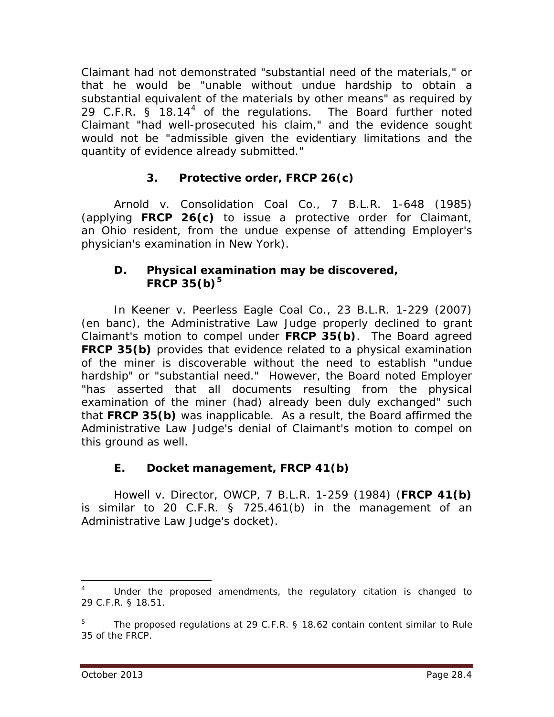Claimant had not demonstrated "substantial need of the materials," or that he would be "unable without undue hardship to obtain a substantial equivalent of the materials by other means" as required by 29 C.F.R.  $\AA$  18.1[4](#page-3-0)<sup>4</sup> of the regulations. The Board further noted Claimant "had well-prosecuted his claim," and the evidence sought would not be "admissible given the evidentiary limitations and the quantity of evidence already submitted."

# **3. Protective order, FRCP 26(c)**

*Arnold v. Consolidation Coal Co.*, 7 B.L.R. 1-648 (1985) (applying **FRCP 26(c)** to issue a protective order for Claimant, an Ohio resident, from the undue expense of attending Employer's physician's examination in New York).

#### **D. Physical examination may be discovered, FRCP 35(b)[5](#page-3-1)**

In *Keener v. Peerless Eagle Coal Co.*, 23 B.L.R. 1-229 (2007) (en banc), the Administrative Law Judge properly declined to grant Claimant's motion to compel under **FRCP 35(b)**. The Board agreed **FRCP 35(b)** provides that evidence related to a physical examination of the miner is discoverable without the need to establish "undue hardship" or "substantial need." However, the Board noted Employer "has asserted that all documents resulting from the physical examination of the miner (had) already been duly exchanged" such that **FRCP 35(b)** was inapplicable. As a result, the Board affirmed the Administrative Law Judge's denial of Claimant's motion to compel on this ground as well.

## **E. Docket management, FRCP 41(b)**

*Howell v. Director, OWCP*, 7 B.L.R. 1-259 (1984) (**FRCP 41(b)** is similar to 20 C.F.R. § 725.461(b) in the management of an Administrative Law Judge's docket).

<span id="page-3-0"></span>Under the proposed amendments, the regulatory citation is changed to 29 C.F.R. § 18.51.

<span id="page-3-1"></span><sup>5</sup> The proposed regulations at 29 C.F.R. § 18.62 contain content similar to Rule 35 of the FRCP.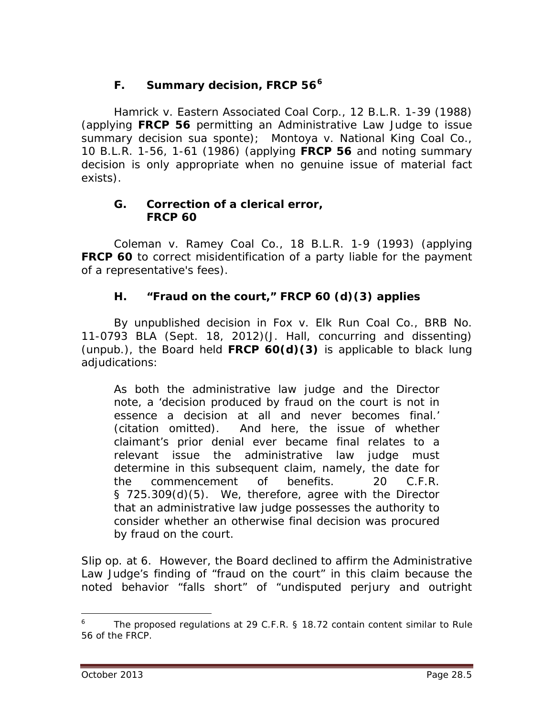# **F. Summary decision, FRCP 56[6](#page-4-0)**

*Hamrick v. Eastern Associated Coal Corp.*, 12 B.L.R. 1-39 (1988) (applying **FRCP 56** permitting an Administrative Law Judge to issue summary decision *sua sponte*); *Montoya v. National King Coal Co.*, 10 B.L.R. 1-56, 1-61 (1986) (applying **FRCP 56** and noting summary decision is only appropriate when no genuine issue of material fact exists).

#### **G. Correction of a clerical error, FRCP 60**

*Coleman v. Ramey Coal Co.,* 18 B.L.R. 1-9 (1993) (applying **FRCP 60** to correct misidentification of a party liable for the payment of a representative's fees).

## **H. "Fraud on the court," FRCP 60 (d)(3) applies**

By unpublished decision in *Fox v. Elk Run Coal Co.*, BRB No. 11-0793 BLA (Sept. 18, 2012)(J. Hall, concurring and dissenting) (unpub.), the Board held **FRCP 60(d)(3)** is applicable to black lung adjudications:

As both the administrative law judge and the Director note, a 'decision produced by fraud on the court is not in essence a decision at all and never becomes final.' (citation omitted). And here, the issue of whether claimant's prior denial ever became final relates to a relevant issue the administrative law judge must determine in this subsequent claim, namely, the date for the commencement of benefits. 20 C.F.R. § 725.309(d)(5). We, therefore, agree with the Director that an administrative law judge possesses the authority to consider whether an otherwise final decision was procured by fraud on the court.

*Slip op.* at 6. However, the Board declined to affirm the Administrative Law Judge's finding of "fraud on the court" in this claim because the noted behavior "falls short" of "undisputed perjury and outright

<span id="page-4-0"></span>The proposed regulations at 29 C.F.R. § 18.72 contain content similar to Rule 56 of the FRCP.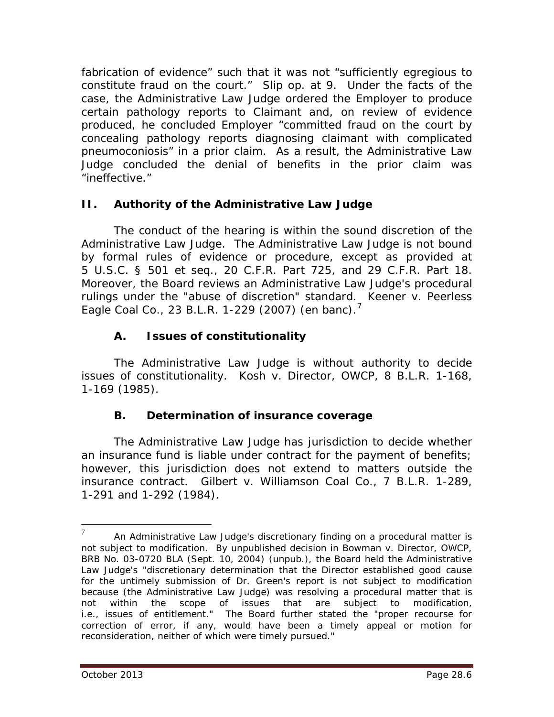fabrication of evidence" such that it was not "sufficiently egregious to constitute fraud on the court." *Slip op.* at 9. Under the facts of the case, the Administrative Law Judge ordered the Employer to produce certain pathology reports to Claimant and, on review of evidence produced, he concluded Employer "committed fraud on the court by concealing pathology reports diagnosing claimant with complicated pneumoconiosis" in a prior claim. As a result, the Administrative Law Judge concluded the denial of benefits in the prior claim was "ineffective."

# **II. Authority of the Administrative Law Judge**

The conduct of the hearing is within the sound discretion of the Administrative Law Judge. The Administrative Law Judge is not bound by formal rules of evidence or procedure, except as provided at 5 U.S.C. § 501 *et seq.,* 20 C.F.R. Part 725, and 29 C.F.R. Part 18. Moreover, the Board reviews an Administrative Law Judge's procedural rulings under the "abuse of discretion" standard. *Keener v. Peerless Eagle Coal Co.*, 23 B.L.R. 1-229 (2007) (en banc). [7](#page-5-0)

# **A. Issues of constitutionality**

The Administrative Law Judge is without authority to decide issues of constitutionality. *Kosh v. Director, OWCP*, 8 B.L.R. 1-168, 1-169 (1985).

# **B. Determination of insurance coverage**

The Administrative Law Judge has jurisdiction to decide whether an insurance fund is liable under contract for the payment of benefits; however, this jurisdiction does not extend to matters outside the insurance contract. *Gilbert v. Williamson Coal Co.*, 7 B.L.R. 1-289, 1-291 and 1-292 (1984).

<span id="page-5-0"></span><sup>&</sup>lt;sup>-</sup> An Administrative Law Judge's discretionary finding on a procedural matter is not subject to modification. By unpublished decision in *Bowman v. Director, OWCP*, BRB No. 03-0720 BLA (Sept. 10, 2004) (unpub.), the Board held the Administrative Law Judge's "discretionary determination that the Director established good cause for the untimely submission of Dr. Green's report is not subject to modification because (the Administrative Law Judge) was resolving a procedural matter that is not within the scope of issues that are subject to modification, *i.e.*, issues of entitlement." The Board further stated the "proper recourse for correction of error, if any, would have been a timely appeal or motion for reconsideration, neither of which were timely pursued."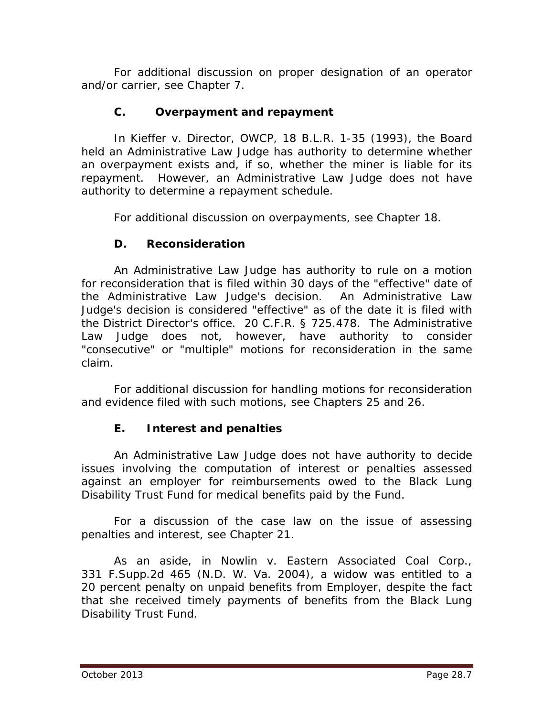For additional discussion on proper designation of an operator and/or carrier, *see* Chapter 7.

# **C. Overpayment and repayment**

In *Kieffer v. Director, OWCP*, 18 B.L.R. 1-35 (1993), the Board held an Administrative Law Judge has authority to determine whether an overpayment exists and, if so, whether the miner is liable for its repayment. However, an Administrative Law Judge does not have authority to determine a repayment schedule.

For additional discussion on overpayments, *see* Chapter 18.

# **D. Reconsideration**

An Administrative Law Judge has authority to rule on a motion for reconsideration that is filed within 30 days of the "effective" date of the Administrative Law Judge's decision. An Administrative Law Judge's decision is considered "effective" as of the date it is filed with the District Director's office. 20 C.F.R. § 725.478. The Administrative Law Judge does not, however, have authority to consider "consecutive" or "multiple" motions for reconsideration in the same claim.

For additional discussion for handling motions for reconsideration and evidence filed with such motions, *see* Chapters 25 and 26.

# **E. Interest and penalties**

An Administrative Law Judge does not have authority to decide issues involving the computation of interest or penalties assessed against an employer for reimbursements owed to the Black Lung Disability Trust Fund for medical benefits paid by the Fund.

For a discussion of the case law on the issue of assessing penalties and interest, *see* Chapter 21.

As an aside, in *Nowlin v. Eastern Associated Coal Corp.*, 331 F.Supp.2d 465 (N.D. W. Va. 2004), a widow was entitled to a 20 percent penalty on unpaid benefits from Employer, despite the fact that she received timely payments of benefits from the Black Lung Disability Trust Fund.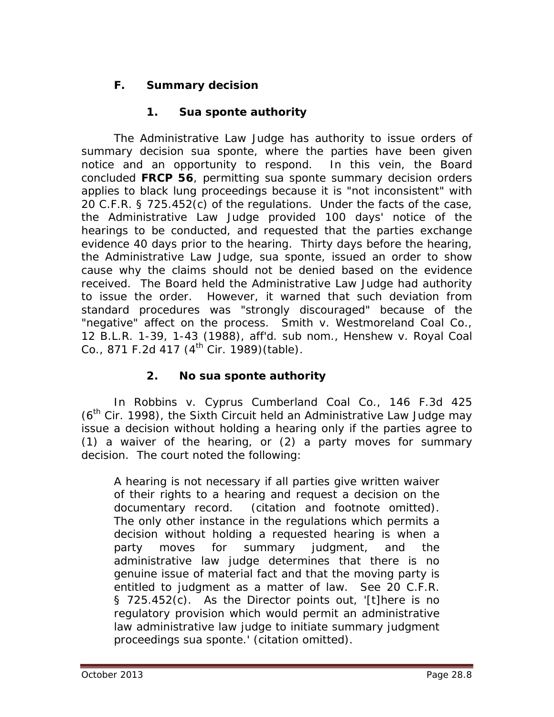# **F. Summary decision**

# **1. S***ua sponte* **authority**

The Administrative Law Judge has authority to issue orders of summary decision *sua sponte*, where the parties have been given notice and an opportunity to respond. In this vein, the Board concluded **FRCP 56**, permitting *sua sponte* summary decision orders applies to black lung proceedings because it is "not inconsistent" with 20 C.F.R. § 725.452(c) of the regulations. Under the facts of the case, the Administrative Law Judge provided 100 days' notice of the hearings to be conducted, and requested that the parties exchange evidence 40 days prior to the hearing. Thirty days before the hearing, the Administrative Law Judge, *sua sponte*, issued an order to show cause why the claims should not be denied based on the evidence received. The Board held the Administrative Law Judge had authority to issue the order. However, it warned that such deviation from standard procedures was "strongly discouraged" because of the "negative" affect on the process. *Smith v. Westmoreland Coal Co.*, 12 B.L.R. 1-39, 1-43 (1988), *aff'd. sub nom., Henshew v. Royal Coal Co.*, 871 F.2d 417 (4<sup>th</sup> Cir. 1989) (table).

# **2. No** *sua sponte* **authority**

In *Robbins v. Cyprus Cumberland Coal Co.*, 146 F.3d 425  $(6<sup>th</sup>$  Cir. 1998), the Sixth Circuit held an Administrative Law Judge may issue a decision without holding a hearing only if the parties agree to (1) a waiver of the hearing, or (2) a party moves for summary decision. The court noted the following:

A hearing is not necessary if all parties give written waiver of their rights to a hearing and request a decision on the documentary record. (citation and footnote omitted). The only other instance in the regulations which permits a decision without holding a requested hearing is when a party moves for summary judgment, and the administrative law judge determines that there is no genuine issue of material fact and that the moving party is entitled to judgment as a matter of law. See 20 C.F.R. § 725.452(c). As the Director points out, '[t]here is no regulatory provision which would permit an administrative law administrative law judge to initiate summary judgment proceedings sua sponte.' (citation omitted).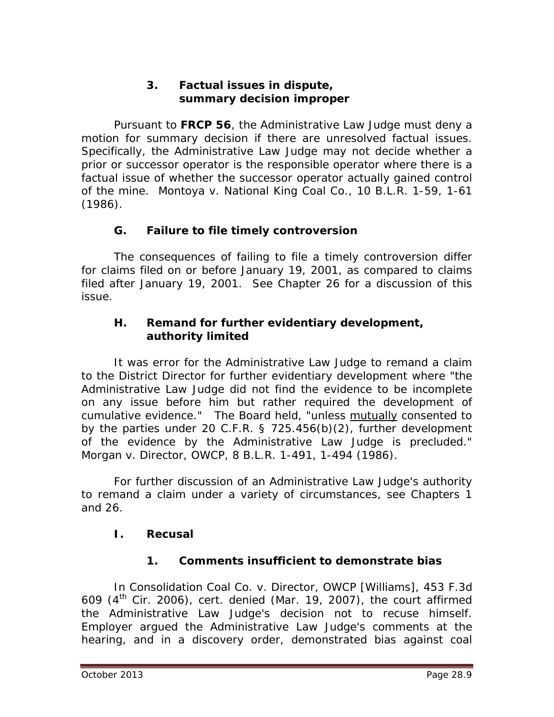#### **3. Factual issues in dispute, summary decision improper**

Pursuant to **FRCP 56**, the Administrative Law Judge must deny a motion for summary decision if there are unresolved factual issues. Specifically, the Administrative Law Judge may not decide whether a prior or successor operator is the responsible operator where there is a factual issue of whether the successor operator actually gained control of the mine. *Montoya v. National King Coal Co.*, 10 B.L.R. 1-59, 1-61 (1986).

## **G. Failure to file timely controversion**

The consequences of failing to file a timely controversion differ for claims filed on or before January 19, 2001, as compared to claims filed after January 19, 2001. *See* Chapter 26 for a discussion of this issue.

#### **H. Remand for further evidentiary development, authority limited**

It was error for the Administrative Law Judge to remand a claim to the District Director for further evidentiary development where "the Administrative Law Judge did not find the evidence to be incomplete on any issue before him but rather required the development of cumulative evidence." The Board held, "unless mutually consented to by the parties under 20 C.F.R. § 725.456(b)(2), further development of the evidence by the Administrative Law Judge is precluded." *Morgan v. Director, OWCP*, 8 B.L.R. 1-491, 1-494 (1986).

For further discussion of an Administrative Law Judge's authority to remand a claim under a variety of circumstances, *see* Chapters 1 and 26.

## **I. Recusal**

# **1. Comments insufficient to demonstrate bias**

In *Consolidation Coal Co. v. Director, OWCP [Williams]*, 453 F.3d 609 (4th Cir. 2006), *cert. denied* (Mar. 19, 2007), the court affirmed the Administrative Law Judge's decision not to recuse himself. Employer argued the Administrative Law Judge's comments at the hearing, and in a discovery order, demonstrated bias against coal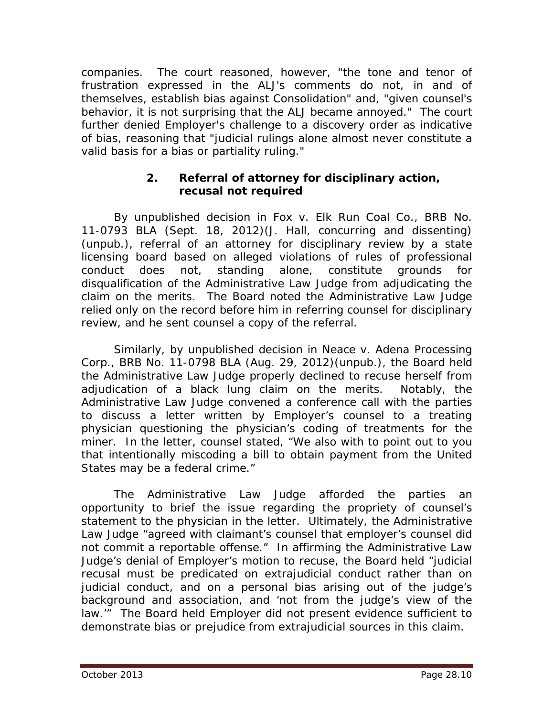companies. The court reasoned, however, "the tone and tenor of frustration expressed in the ALJ's comments do not, in and of themselves, establish bias against Consolidation" and, "given counsel's behavior, it is not surprising that the ALJ became annoyed." The court further denied Employer's challenge to a discovery order as indicative of bias, reasoning that "judicial rulings alone almost never constitute a valid basis for a bias or partiality ruling."

## **2. Referral of attorney for disciplinary action, recusal not required**

By unpublished decision in *Fox v. Elk Run Coal Co.*, BRB No. 11-0793 BLA (Sept. 18, 2012)(J. Hall, concurring and dissenting) (unpub.), referral of an attorney for disciplinary review by a state licensing board based on alleged violations of rules of professional conduct does not, standing alone, constitute grounds for disqualification of the Administrative Law Judge from adjudicating the claim on the merits. The Board noted the Administrative Law Judge relied only on the record before him in referring counsel for disciplinary review, and he sent counsel a copy of the referral.

Similarly, by unpublished decision in *Neace v. Adena Processing Corp.*, BRB No. 11-0798 BLA (Aug. 29, 2012)(unpub.), the Board held the Administrative Law Judge properly declined to recuse herself from adjudication of a black lung claim on the merits. Notably, the Administrative Law Judge convened a conference call with the parties to discuss a letter written by Employer's counsel to a treating physician questioning the physician's coding of treatments for the miner. In the letter, counsel stated, "We also with to point out to you that intentionally miscoding a bill to obtain payment from the United States may be a federal crime."

The Administrative Law Judge afforded the parties an opportunity to brief the issue regarding the propriety of counsel's statement to the physician in the letter. Ultimately, the Administrative Law Judge "agreed with claimant's counsel that employer's counsel did not commit a reportable offense." In affirming the Administrative Law Judge's denial of Employer's motion to recuse, the Board held "judicial recusal must be predicated on extrajudicial conduct rather than on judicial conduct, and on a personal bias arising out of the judge's background and association, and 'not from the judge's view of the law.'" The Board held Employer did not present evidence sufficient to demonstrate bias or prejudice from extrajudicial sources in this claim.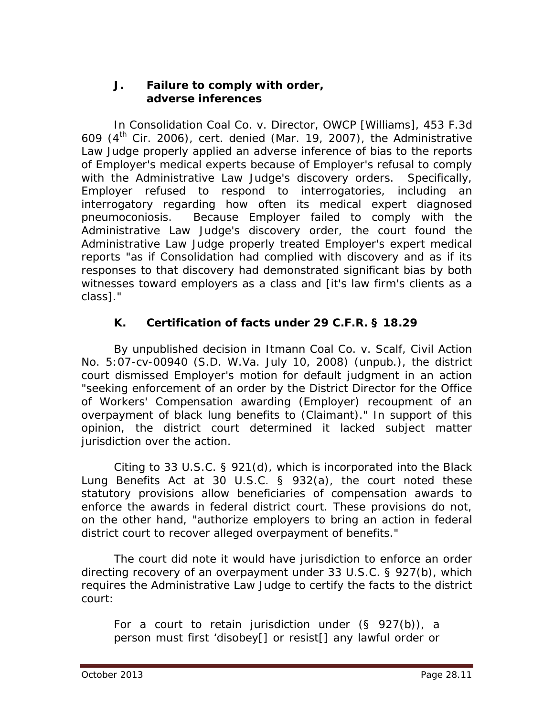#### **J. Failure to comply with order, adverse inferences**

In *Consolidation Coal Co. v. Director, OWCP [Williams]*, 453 F.3d 609 (4th Cir. 2006), *cert. denied* (Mar. 19, 2007), the Administrative Law Judge properly applied an adverse inference of bias to the reports of Employer's medical experts because of Employer's refusal to comply with the Administrative Law Judge's discovery orders. Specifically, Employer refused to respond to interrogatories, including an interrogatory regarding how often its medical expert diagnosed pneumoconiosis. Because Employer failed to comply with the Administrative Law Judge's discovery order, the court found the Administrative Law Judge properly treated Employer's expert medical reports "as if Consolidation had complied with discovery and as if its responses to that discovery had demonstrated significant bias by both witnesses toward employers as a class and [it's law firm's clients as a class]."

# **K. Certification of facts under 29 C.F.R. § 18.29**

 By unpublished decision in *Itmann Coal Co. v. Scalf*, Civil Action No. 5:07-cv-00940 (S.D. W.Va. July 10, 2008) (unpub.), the district court dismissed Employer's motion for default judgment in an action "seeking enforcement of an order by the District Director for the Office of Workers' Compensation awarding (Employer) recoupment of an overpayment of black lung benefits to (Claimant)." In support of this opinion, the district court determined it lacked subject matter jurisdiction over the action.

 Citing to 33 U.S.C. § 921(d), which is incorporated into the Black Lung Benefits Act at 30 U.S.C. § 932(a), the court noted these statutory provisions allow beneficiaries of compensation awards to enforce the awards in federal district court. These provisions do not, on the other hand, "authorize employers to bring an action in federal district court to recover alleged overpayment of benefits."

 The court did note it would have jurisdiction to enforce an order directing recovery of an overpayment under 33 U.S.C. § 927(b), which requires the Administrative Law Judge to certify the facts to the district court:

For a court to retain jurisdiction under  $(S \ 927(b))$ , a person must first 'disobey[] or resist[] any lawful order or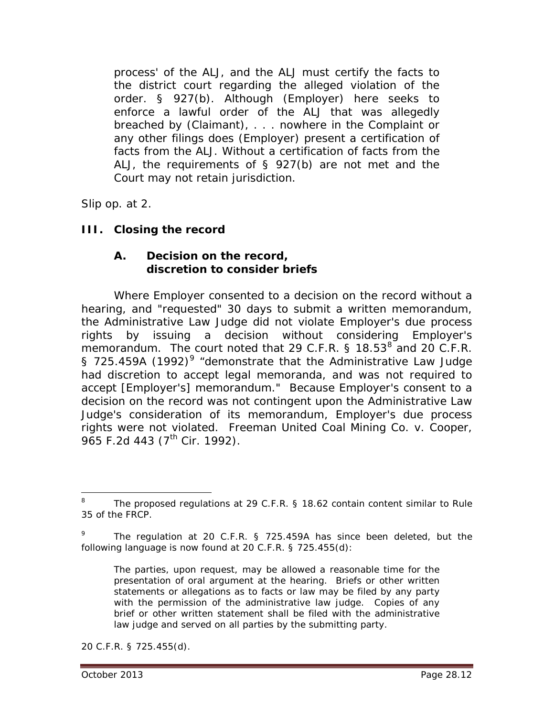process' of the ALJ, and the ALJ must certify the facts to the district court regarding the alleged violation of the order. § 927(b). Although (Employer) here seeks to enforce a lawful order of the ALJ that was allegedly breached by (Claimant), . . . nowhere in the Complaint or any other filings does (Employer) present a certification of facts from the ALJ. Without a certification of facts from the ALJ, the requirements of § 927(b) are not met and the Court may not retain jurisdiction.

*Slip op.* at 2.

# **III. Closing the record**

#### **A. Decision on the record, discretion to consider briefs**

Where Employer consented to a decision on the record without a hearing, and "requested" 30 days to submit a written memorandum, the Administrative Law Judge did not violate Employer's due process rights by issuing a decision without considering Employer's memorandum. The court noted that 29 C.F.R.  $\S$  1[8](#page-11-0).53<sup>8</sup> and 20 C.F.R. § 725.45[9](#page-11-1)A (1992)<sup>9</sup> "demonstrate that the Administrative Law Judge had discretion to accept legal memoranda, and was not required to accept [Employer's] memorandum." Because Employer's consent to a decision on the record was not contingent upon the Administrative Law Judge's consideration of its memorandum, Employer's due process rights were not violated. *Freeman United Coal Mining Co. v. Cooper*, 965 F.2d 443 (7<sup>th</sup> Cir. 1992).

The parties, upon request, may be allowed a reasonable time for the presentation of oral argument at the hearing. Briefs or other written statements or allegations as to facts or law may be filed by any party with the permission of the administrative law judge. Copies of any brief or other written statement shall be filed with the administrative law judge and served on all parties by the submitting party.

20 C.F.R. § 725.455(d).

<span id="page-11-0"></span>The proposed regulations at 29 C.F.R. § 18.62 contain content similar to Rule 35 of the FRCP. 8

<span id="page-11-1"></span><sup>&</sup>lt;sup>9</sup> The regulation at 20 C.F.R. § 725.459A has since been deleted, but the following language is now found at 20 C.F.R. § 725.455(d):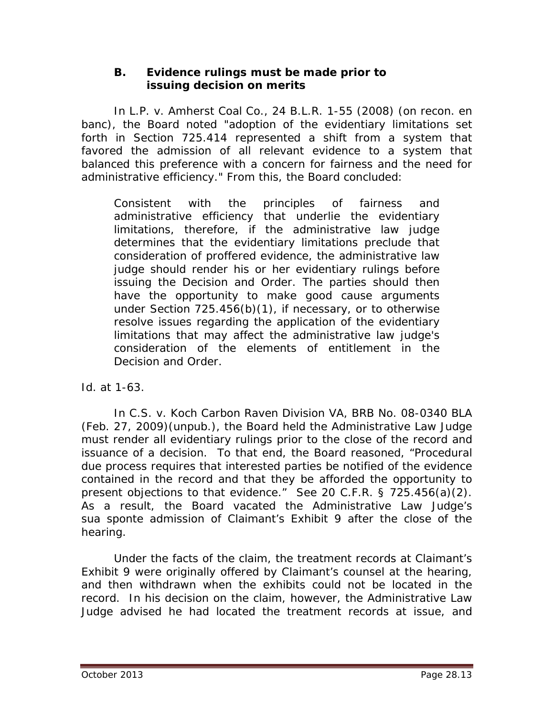#### **B. Evidence rulings must be made prior to issuing decision on merits**

In *L.P. v. Amherst Coal Co.*, 24 B.L.R. 1-55 (2008) (on recon. en banc), the Board noted "adoption of the evidentiary limitations set forth in Section 725.414 represented a shift from a system that favored the admission of all relevant evidence to a system that balanced this preference with a concern for fairness and the need for administrative efficiency." From this, the Board concluded:

Consistent with the principles of fairness and administrative efficiency that underlie the evidentiary limitations, therefore, if the administrative law judge determines that the evidentiary limitations preclude that consideration of proffered evidence, the administrative law judge should render his or her evidentiary rulings before issuing the Decision and Order. The parties should then have the opportunity to make good cause arguments under Section 725.456(b)(1), if necessary, or to otherwise resolve issues regarding the application of the evidentiary limitations that may affect the administrative law judge's consideration of the elements of entitlement in the Decision and Order.

*Id.* at 1-63.

In *C.S. v. Koch Carbon Raven Division VA*, BRB No. 08-0340 BLA (Feb. 27, 2009)(unpub.), the Board held the Administrative Law Judge must render all evidentiary rulings prior to the close of the record and issuance of a decision. To that end, the Board reasoned, "Procedural due process requires that interested parties be notified of the evidence contained in the record and that they be afforded the opportunity to present objections to that evidence." *See* 20 C.F.R. § 725.456(a)(2). As a result, the Board vacated the Administrative Law Judge's *sua sponte* admission of Claimant's Exhibit 9 after the close of the hearing.

Under the facts of the claim, the treatment records at Claimant's Exhibit 9 were originally offered by Claimant's counsel at the hearing, and then withdrawn when the exhibits could not be located in the record. In his decision on the claim, however, the Administrative Law Judge advised he had located the treatment records at issue, and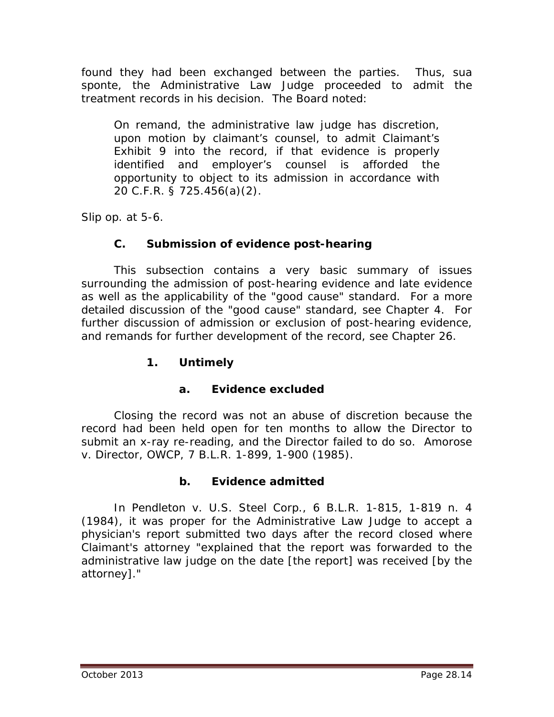found they had been exchanged between the parties. Thus, *sua sponte*, the Administrative Law Judge proceeded to admit the treatment records in his decision. The Board noted:

On remand, the administrative law judge has discretion, upon motion by claimant's counsel, to admit Claimant's Exhibit 9 into the record, if that evidence is properly identified and employer's counsel is afforded the opportunity to object to its admission in accordance with 20 C.F.R. § 725.456(a)(2).

*Slip op.* at 5-6.

# **C. Submission of evidence post-hearing**

This subsection contains a very basic summary of issues surrounding the admission of post-hearing evidence and late evidence as well as the applicability of the "good cause" standard. For a more detailed discussion of the "good cause" standard, *see* Chapter 4. For further discussion of admission or exclusion of post-hearing evidence, and remands for further development of the record, *see* Chapter 26.

## **1. Untimely**

## **a. Evidence excluded**

Closing the record was not an abuse of discretion because the record had been held open for ten months to allow the Director to submit an x-ray re-reading, and the Director failed to do so. *Amorose v. Director, OWCP*, 7 B.L.R. 1-899, 1-900 (1985).

## **b. Evidence admitted**

In *Pendleton v. U.S. Steel Corp.*, 6 B.L.R. 1-815, 1-819 n. 4 (1984), it was proper for the Administrative Law Judge to accept a physician's report submitted two days after the record closed where Claimant's attorney "explained that the report was forwarded to the administrative law judge on the date [the report] was received [by the attorney]."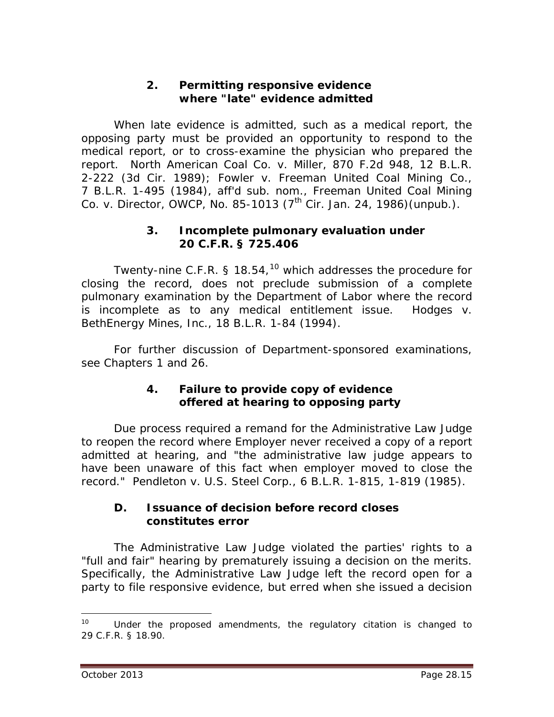#### **2. Permitting responsive evidence where "late" evidence admitted**

When late evidence is admitted, such as a medical report, the opposing party must be provided an opportunity to respond to the medical report, or to cross-examine the physician who prepared the report. *North American Coal Co. v. Miller*, 870 F.2d 948, 12 B.L.R. 2-222 (3d Cir. 1989); *Fowler v. Freeman United Coal Mining Co.*, 7 B.L.R. 1-495 (1984), *aff'd sub. nom.*, *Freeman United Coal Mining Co. v. Director, OWCP*, No. 85-1013 (7<sup>th</sup> Cir. Jan. 24, 1986)(unpub.).

#### **3. Incomplete pulmonary evaluation under 20 C.F.R. § 725.406**

Twenty-nine C.F.R. § 18.54,<sup>[10](#page-14-0)</sup> which addresses the procedure for closing the record, does not preclude submission of a complete pulmonary examination by the Department of Labor where the record is incomplete as to any medical entitlement issue. *Hodges v. BethEnergy Mines, Inc.*, 18 B.L.R. 1-84 (1994).

For further discussion of Department-sponsored examinations, *see* Chapters 1 and 26.

#### **4. Failure to provide copy of evidence offered at hearing to opposing party**

Due process required a remand for the Administrative Law Judge to reopen the record where Employer never received a copy of a report admitted at hearing, and "the administrative law judge appears to have been unaware of this fact when employer moved to close the record." *Pendleton v. U.S. Steel Corp.*, 6 B.L.R. 1-815, 1-819 (1985).

#### **D. Issuance of decision before record closes constitutes error**

The Administrative Law Judge violated the parties' rights to a "full and fair" hearing by prematurely issuing a decision on the merits. Specifically, the Administrative Law Judge left the record open for a party to file responsive evidence, but erred when she issued a decision

<span id="page-14-0"></span> $10$  Under the proposed amendments, the regulatory citation is changed to 29 C.F.R. § 18.90.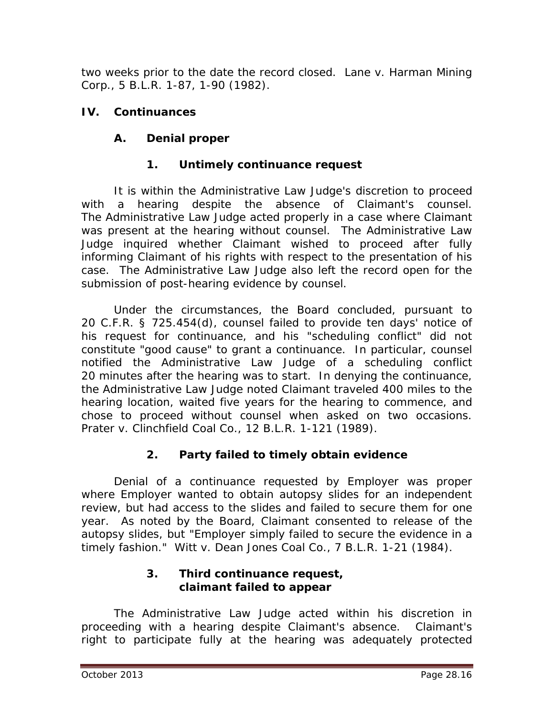two weeks prior to the date the record closed. *Lane v. Harman Mining Corp.*, 5 B.L.R. 1-87, 1-90 (1982).

# **IV. Continuances**

# **A. Denial proper**

# **1. Untimely continuance request**

It is within the Administrative Law Judge's discretion to proceed with a hearing despite the absence of Claimant's counsel. The Administrative Law Judge acted properly in a case where Claimant was present at the hearing without counsel. The Administrative Law Judge inquired whether Claimant wished to proceed after fully informing Claimant of his rights with respect to the presentation of his case. The Administrative Law Judge also left the record open for the submission of post-hearing evidence by counsel.

Under the circumstances, the Board concluded, pursuant to 20 C.F.R. § 725.454(d), counsel failed to provide ten days' notice of his request for continuance, and his "scheduling conflict" did not constitute "good cause" to grant a continuance. In particular, counsel notified the Administrative Law Judge of a scheduling conflict 20 minutes after the hearing was to start. In denying the continuance, the Administrative Law Judge noted Claimant traveled 400 miles to the hearing location, waited five years for the hearing to commence, and chose to proceed without counsel when asked on two occasions. *Prater v. Clinchfield Coal Co.*, 12 B.L.R. 1-121 (1989).

# **2. Party failed to timely obtain evidence**

Denial of a continuance requested by Employer was proper where Employer wanted to obtain autopsy slides for an independent review, but had access to the slides and failed to secure them for one year. As noted by the Board, Claimant consented to release of the autopsy slides, but "Employer simply failed to secure the evidence in a timely fashion." *Witt v. Dean Jones Coal Co.*, 7 B.L.R. 1-21 (1984).

## **3. Third continuance request, claimant failed to appear**

The Administrative Law Judge acted within his discretion in proceeding with a hearing despite Claimant's absence. Claimant's right to participate fully at the hearing was adequately protected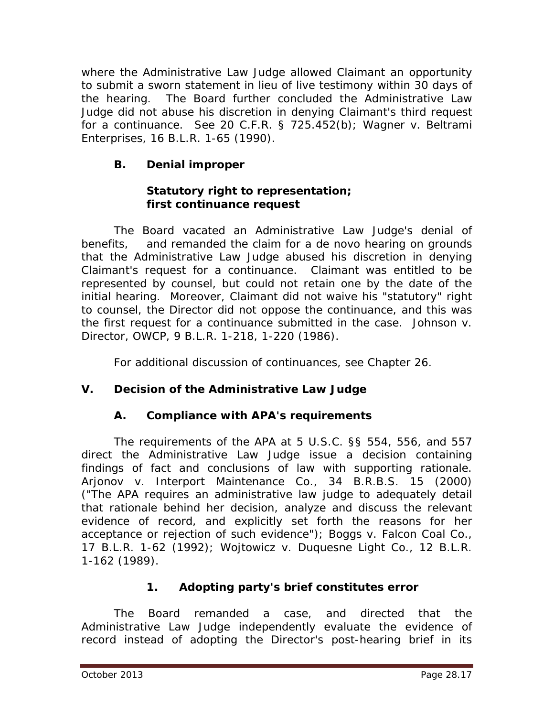where the Administrative Law Judge allowed Claimant an opportunity to submit a sworn statement in lieu of live testimony within 30 days of the hearing. The Board further concluded the Administrative Law Judge did not abuse his discretion in denying Claimant's third request for a continuance. *See* 20 C.F.R. § 725.452(b); *Wagner v. Beltrami Enterprises*, 16 B.L.R. 1-65 (1990).

# **B. Denial improper**

## **Statutory right to representation; first continuance request**

The Board vacated an Administrative Law Judge's denial of benefits, and remanded the claim for a *de novo* hearing on grounds that the Administrative Law Judge abused his discretion in denying Claimant's request for a continuance. Claimant was entitled to be represented by counsel, but could not retain one by the date of the initial hearing. Moreover, Claimant did not waive his "statutory" right to counsel, the Director did not oppose the continuance, and this was the first request for a continuance submitted in the case. *Johnson v. Director, OWCP*, 9 B.L.R. 1-218, 1-220 (1986).

For additional discussion of continuances, *see* Chapter 26.

# **V. Decision of the Administrative Law Judge**

# **A. Compliance with APA's requirements**

The requirements of the APA at 5 U.S.C. §§ 554, 556, and 557 direct the Administrative Law Judge issue a decision containing findings of fact and conclusions of law with supporting rationale. *Arjonov v. Interport Maintenance Co.*, 34 B.R.B.S. 15 (2000) ("The APA requires an administrative law judge to adequately detail that rationale behind her decision, analyze and discuss the relevant evidence of record, and explicitly set forth the reasons for her acceptance or rejection of such evidence"); *Boggs v. Falcon Coal Co.*, 17 B.L.R. 1-62 (1992); *Wojtowicz v. Duquesne Light Co.*, 12 B.L.R. 1-162 (1989).

# **1. Adopting party's brief constitutes error**

The Board remanded a case, and directed that the Administrative Law Judge independently evaluate the evidence of record instead of adopting the Director's post-hearing brief in its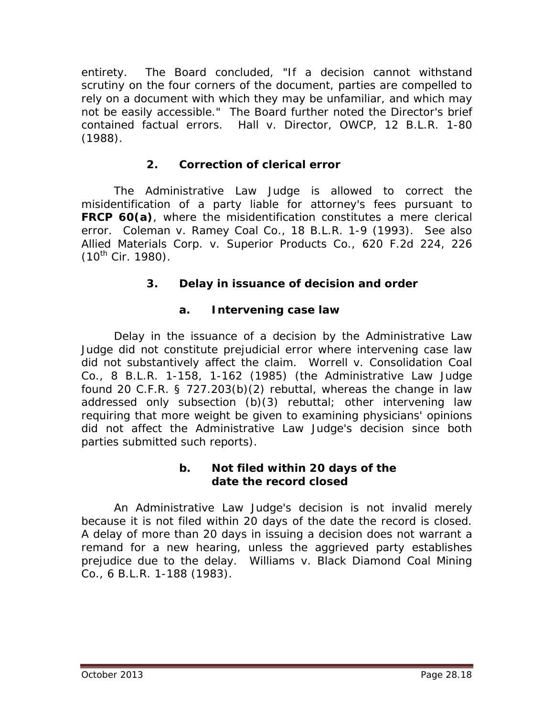entirety. The Board concluded, "If a decision cannot withstand scrutiny on the four corners of the document, parties are compelled to rely on a document with which they may be unfamiliar, and which may not be easily accessible." The Board further noted the Director's brief contained factual errors. *Hall v. Director, OWCP*, 12 B.L.R. 1-80 (1988).

# **2. Correction of clerical error**

The Administrative Law Judge is allowed to correct the misidentification of a party liable for attorney's fees pursuant to **FRCP 60(a)**, where the misidentification constitutes a mere clerical error. *Coleman v. Ramey Coal Co.*, 18 B.L.R. 1-9 (1993). *See also Allied Materials Corp. v. Superior Products Co.*, 620 F.2d 224, 226  $(10^{th}$  Cir. 1980).

# **3. Delay in issuance of decision and order**

# **a. Intervening case law**

Delay in the issuance of a decision by the Administrative Law Judge did not constitute prejudicial error where intervening case law did not substantively affect the claim. *Worrell v. Consolidation Coal Co.*, 8 B.L.R. 1-158, 1-162 (1985) (the Administrative Law Judge found 20 C.F.R. § 727.203(b)(2) rebuttal, whereas the change in law addressed only subsection (b)(3) rebuttal; other intervening law requiring that more weight be given to examining physicians' opinions did not affect the Administrative Law Judge's decision since both parties submitted such reports).

## **b. Not filed within 20 days of the date the record closed**

An Administrative Law Judge's decision is not invalid merely because it is not filed within 20 days of the date the record is closed. A delay of more than 20 days in issuing a decision does not warrant a remand for a new hearing, unless the aggrieved party establishes prejudice due to the delay. *Williams v. Black Diamond Coal Mining Co.*, 6 B.L.R. 1-188 (1983).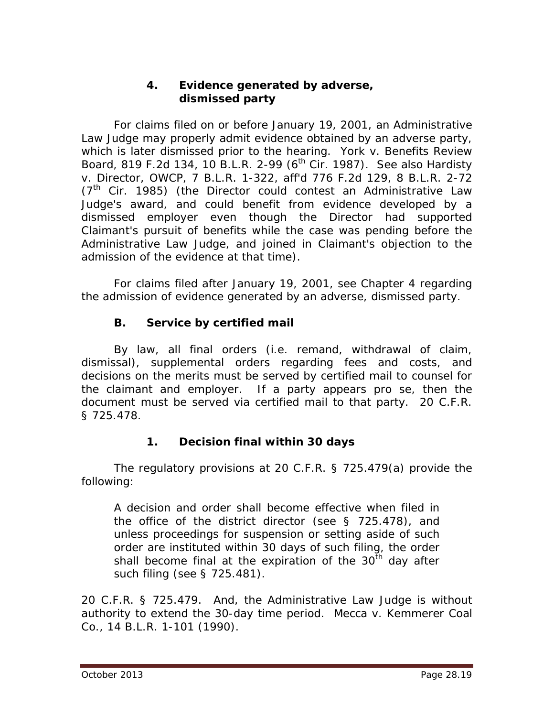#### **4. Evidence generated by adverse, dismissed party**

For claims filed on or before January 19, 2001, an Administrative Law Judge may properly admit evidence obtained by an adverse party, which is later dismissed prior to the hearing. *York v. Benefits Review Board*, 819 F.2d 134, 10 B.L.R. 2-99 (6th Cir. 1987). *See also Hardisty v. Director, OWCP*, 7 B.L.R. 1-322, *aff'd* 776 F.2d 129, 8 B.L.R. 2-72  $(7<sup>th</sup>$  Cir. 1985) (the Director could contest an Administrative Law Judge's award, and could benefit from evidence developed by a dismissed employer even though the Director had supported Claimant's pursuit of benefits while the case was pending before the Administrative Law Judge, and joined in Claimant's objection to the admission of the evidence at that time).

For claims filed after January 19, 2001, *see* Chapter 4 regarding the admission of evidence generated by an adverse, dismissed party.

# **B. Service by certified mail**

By law, all final orders (*i.e.* remand, withdrawal of claim, dismissal), supplemental orders regarding fees and costs, and decisions on the merits must be served by certified mail to counsel for the claimant and employer. If a party appears *pro se*, then the document must be served via certified mail to that party. 20 C.F.R. § 725.478.

## **1. Decision final within 30 days**

The regulatory provisions at 20 C.F.R. § 725.479(a) provide the following:

A decision and order shall become effective when filed in the office of the district director (see § 725.478), and unless proceedings for suspension or setting aside of such order are instituted within 30 days of such filing, the order shall become final at the expiration of the  $30^{th}$  day after such filing (see § 725.481).

20 C.F.R. § 725.479. And, the Administrative Law Judge is without authority to extend the 30-day time period. *Mecca v. Kemmerer Coal Co.*, 14 B.L.R. 1-101 (1990).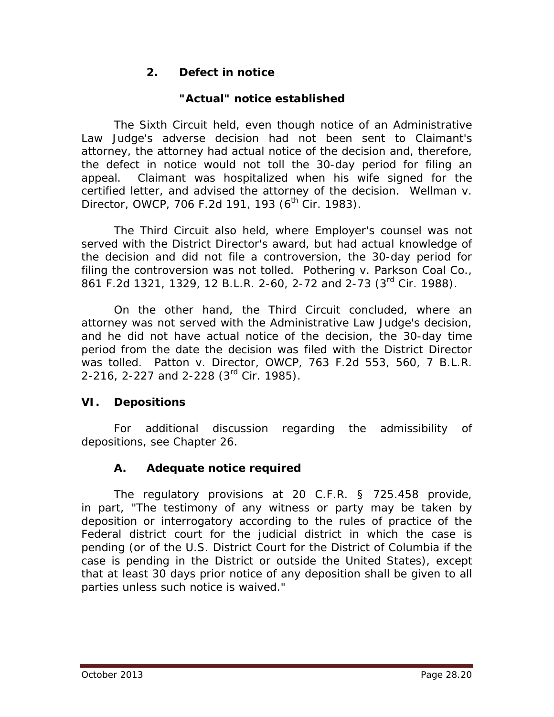# **2. Defect in notice**

# **"Actual" notice established**

The Sixth Circuit held, even though notice of an Administrative Law Judge's adverse decision had not been sent to Claimant's attorney, the attorney had actual notice of the decision and, therefore, the defect in notice would not toll the 30-day period for filing an appeal. Claimant was hospitalized when his wife signed for the certified letter, and advised the attorney of the decision. *Wellman v. Director, OWCP, 706 F.2d 191, 193 (6<sup>th</sup> Cir. 1983).* 

The Third Circuit also held*,* where Employer's counsel was not served with the District Director's award, but had actual knowledge of the decision and did not file a controversion, the 30-day period for filing the controversion was not tolled. *Pothering v. Parkson Coal Co.*, 861 F.2d 1321, 1329, 12 B.L.R. 2-60, 2-72 and 2-73 (3<sup>rd</sup> Cir. 1988).

On the other hand, the Third Circuit concluded, where an attorney was not served with the Administrative Law Judge's decision, and he did not have actual notice of the decision, the 30-day time period from the date the decision was filed with the District Director was tolled. *Patton v. Director, OWCP*, 763 F.2d 553, 560, 7 B.L.R. 2-216, 2-227 and 2-228 (3rd Cir. 1985).

# **VI. Depositions**

For additional discussion regarding the admissibility of depositions, *see* Chapter 26.

# **A. Adequate notice required**

The regulatory provisions at 20 C.F.R. § 725.458 provide, in part, "The testimony of any witness or party may be taken by deposition or interrogatory according to the rules of practice of the Federal district court for the judicial district in which the case is pending (or of the U.S. District Court for the District of Columbia if the case is pending in the District or outside the United States), except that at least 30 days prior notice of any deposition shall be given to all parties unless such notice is waived."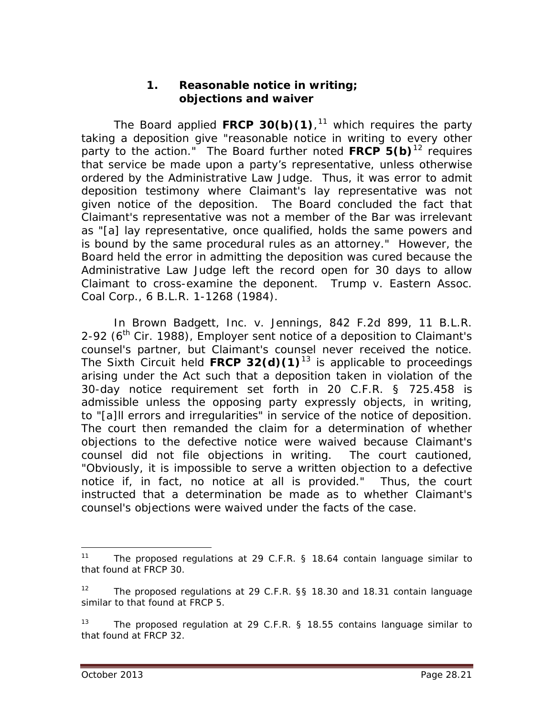#### **1. Reasonable notice in writing; objections and waiver**

The Board applied **FRCP 30(b)(1)**, [11](#page-20-0) which requires the party taking a deposition give "reasonable notice in writing to every other party to the action." The Board further noted **FRCP 5(b)**[12](#page-20-1) requires that service be made upon a party's representative, unless otherwise ordered by the Administrative Law Judge. Thus, it was error to admit deposition testimony where Claimant's lay representative was not given notice of the deposition. The Board concluded the fact that Claimant's representative was not a member of the Bar was irrelevant as "[a] lay representative, once qualified, holds the same powers and is bound by the same procedural rules as an attorney." However, the Board held the error in admitting the deposition was cured because the Administrative Law Judge left the record open for 30 days to allow Claimant to cross-examine the deponent. *Trump v. Eastern Assoc. Coal Corp.*, 6 B.L.R. 1-1268 (1984).

In *Brown Badgett, Inc. v. Jennings*, 842 F.2d 899, 11 B.L.R. 2-92 ( $6<sup>th</sup>$  Cir. 1988), Employer sent notice of a deposition to Claimant's counsel's partner, but Claimant's counsel never received the notice. The Sixth Circuit held **FRCP 32(d)(1)**[13](#page-20-2) is applicable to proceedings arising under the Act such that a deposition taken in violation of the 30-day notice requirement set forth in 20 C.F.R. § 725.458 is admissible unless the opposing party expressly objects, in writing, to "[a]ll errors and irregularities" in service of the notice of deposition. The court then remanded the claim for a determination of whether objections to the defective notice were waived because Claimant's counsel did not file objections in writing. The court cautioned, "Obviously, it is impossible to serve a written objection to a defective notice if, in fact, no notice at all is provided." Thus, the court instructed that a determination be made as to whether Claimant's counsel's objections were waived under the facts of the case.

<span id="page-20-0"></span><sup>&</sup>lt;sup>11</sup> The proposed regulations at 29 C.F.R. § 18.64 contain language similar to that found at FRCP 30.

<span id="page-20-1"></span><sup>&</sup>lt;sup>12</sup> The proposed regulations at 29 C.F.R. §§ 18.30 and 18.31 contain language similar to that found at FRCP 5.

<span id="page-20-2"></span><sup>&</sup>lt;sup>13</sup> The proposed regulation at 29 C.F.R. § 18.55 contains language similar to that found at FRCP 32.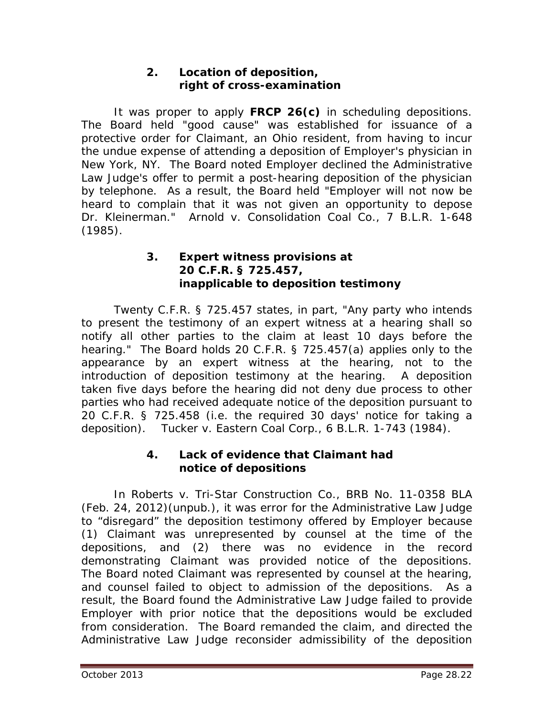## **2. Location of deposition, right of cross-examination**

It was proper to apply **FRCP 26(c)** in scheduling depositions. The Board held "good cause" was established for issuance of a protective order for Claimant, an Ohio resident, from having to incur the undue expense of attending a deposition of Employer's physician in New York, NY. The Board noted Employer declined the Administrative Law Judge's offer to permit a post-hearing deposition of the physician by telephone. As a result, the Board held "Employer will not now be heard to complain that it was not given an opportunity to depose Dr. Kleinerman." *Arnold v. Consolidation Coal Co.*, 7 B.L.R. 1-648 (1985).

#### **3. Expert witness provisions at 20 C.F.R. § 725.457, inapplicable to deposition testimony**

Twenty C.F.R. § 725.457 states, in part, "Any party who intends to present the testimony of an expert witness at a hearing shall so notify all other parties to the claim at least 10 days before the hearing." The Board holds 20 C.F.R. § 725.457(a) applies only to the appearance by an expert witness at the hearing, not to the introduction of deposition testimony at the hearing. A deposition taken five days before the hearing did not deny due process to other parties who had received adequate notice of the deposition pursuant to 20 C.F.R. § 725.458 (*i.e.* the required 30 days' notice for taking a deposition). *Tucker v. Eastern Coal Corp.*, 6 B.L.R. 1-743 (1984).

#### **4. Lack of evidence that Claimant had notice of depositions**

In *Roberts v. Tri-Star Construction Co.*, BRB No. 11-0358 BLA (Feb. 24, 2012)(unpub.), it was error for the Administrative Law Judge to "disregard" the deposition testimony offered by Employer because (1) Claimant was unrepresented by counsel at the time of the depositions, and (2) there was no evidence in the record demonstrating Claimant was provided notice of the depositions. The Board noted Claimant was represented by counsel at the hearing, and counsel failed to object to admission of the depositions. As a result, the Board found the Administrative Law Judge failed to provide Employer with prior notice that the depositions would be excluded from consideration. The Board remanded the claim, and directed the Administrative Law Judge reconsider admissibility of the deposition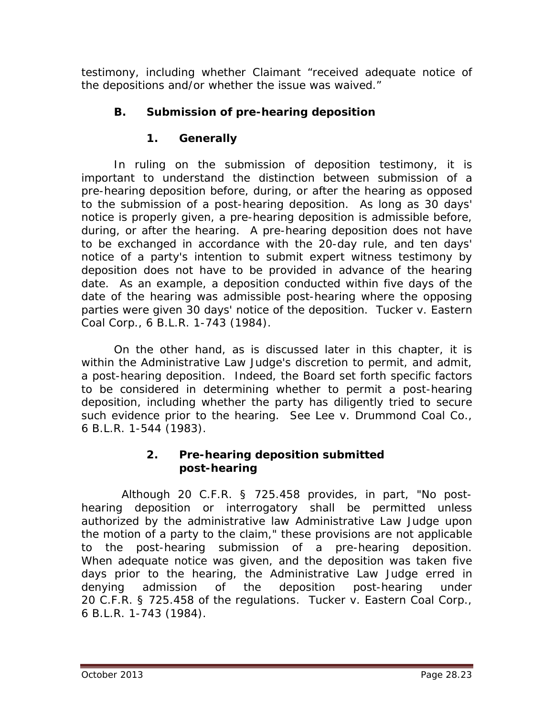testimony, including whether Claimant "received adequate notice of the depositions and/or whether the issue was waived."

# **B. Submission of pre-hearing deposition**

# **1. Generally**

In ruling on the submission of deposition testimony, it is important to understand the distinction between submission of a *pre-hearing* deposition before, during, or after the hearing as opposed to the submission of a *post-hearing* deposition. As long as 30 days' notice is properly given, a *pre-hearing* deposition is admissible before, during, or after the hearing. A *pre-hearing* deposition does not have to be exchanged in accordance with the 20-day rule, and ten days' notice of a party's intention to submit expert witness testimony by deposition does not have to be provided in advance of the hearing date. As an example, a deposition conducted within five days of the date of the hearing was admissible post-hearing where the opposing parties were given 30 days' notice of the deposition. *Tucker v. Eastern Coal Corp.*, 6 B.L.R. 1-743 (1984).

On the other hand, as is discussed later in this chapter, it is within the Administrative Law Judge's discretion to permit, and admit, a *post-hearing* deposition. Indeed, the Board set forth specific factors to be considered in determining whether to permit a post-hearing deposition, including whether the party has diligently tried to secure such evidence prior to the hearing. *See Lee v. Drummond Coal Co.*, 6 B.L.R. 1-544 (1983).

## **2. Pre-hearing deposition submitted post-hearing**

 Although 20 C.F.R. § 725.458 provides, in part, "No posthearing deposition or interrogatory shall be permitted unless authorized by the administrative law Administrative Law Judge upon the motion of a party to the claim," these provisions are not applicable to the post-hearing submission of a pre-hearing deposition. When adequate notice was given, and the deposition was taken five days prior to the hearing, the Administrative Law Judge erred in denying admission of the deposition post-hearing under 20 C.F.R. § 725.458 of the regulations. *Tucker v. Eastern Coal Corp.*, 6 B.L.R. 1-743 (1984).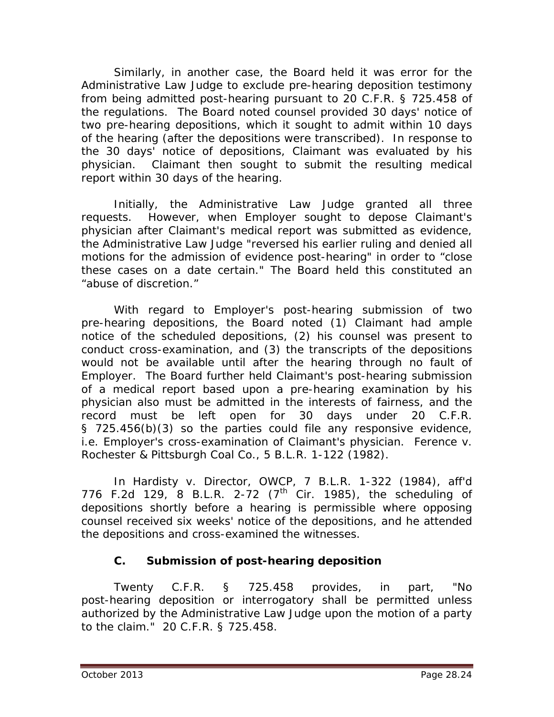Similarly, in another case, the Board held it was error for the Administrative Law Judge to exclude pre-hearing deposition testimony from being admitted post-hearing pursuant to 20 C.F.R. § 725.458 of the regulations. The Board noted counsel provided 30 days' notice of two pre-hearing depositions, which it sought to admit within 10 days of the hearing (after the depositions were transcribed). In response to the 30 days' notice of depositions, Claimant was evaluated by his physician. Claimant then sought to submit the resulting medical report within 30 days of the hearing.

Initially, the Administrative Law Judge granted all three requests. However, when Employer sought to depose Claimant's physician after Claimant's medical report was submitted as evidence, the Administrative Law Judge "reversed his earlier ruling and denied all motions for the admission of evidence post-hearing" in order to "close these cases on a date certain." The Board held this constituted an "abuse of discretion."

With regard to Employer's post-hearing submission of two pre-hearing depositions, the Board noted (1) Claimant had ample notice of the scheduled depositions, (2) his counsel was present to conduct cross-examination, and (3) the transcripts of the depositions would not be available until after the hearing through no fault of Employer. The Board further held Claimant's post-hearing submission of a medical report based upon a pre-hearing examination by his physician also must be admitted in the interests of fairness, and the record must be left open for 30 days under 20 C.F.R. § 725.456(b)(3) so the parties could file any responsive evidence, *i.e.* Employer's cross-examination of Claimant's physician. *Ference v. Rochester & Pittsburgh Coal Co.*, 5 B.L.R. 1-122 (1982).

In *Hardisty v. Director, OWCP*, 7 B.L.R. 1-322 (1984), *aff'd* 776 F.2d 129, 8 B.L.R. 2-72  $(7^{th}$  Cir. 1985), the scheduling of depositions shortly before a hearing is permissible where opposing counsel received six weeks' notice of the depositions, and he attended the depositions and cross-examined the witnesses.

# **C. Submission of post-hearing deposition**

Twenty C.F.R. § 725.458 provides, in part, "No post-hearing deposition or interrogatory shall be permitted unless authorized by the Administrative Law Judge upon the motion of a party to the claim." 20 C.F.R. § 725.458.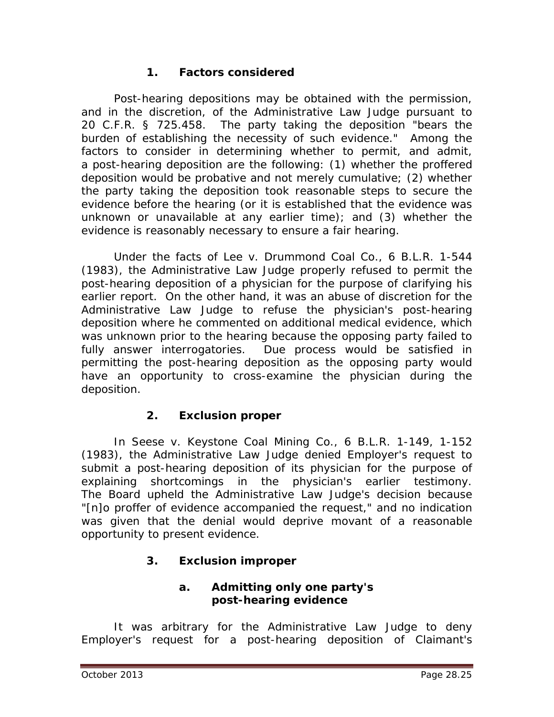## **1. Factors considered**

Post-hearing depositions may be obtained with the permission, and in the discretion, of the Administrative Law Judge pursuant to 20 C.F.R. § 725.458. The party taking the deposition "bears the burden of establishing the necessity of such evidence." Among the factors to consider in determining whether to permit, and admit, a post-hearing deposition are the following: (1) whether the proffered deposition would be probative and not merely cumulative; (2) whether the party taking the deposition took reasonable steps to secure the evidence before the hearing (or it is established that the evidence was unknown or unavailable at any earlier time); and (3) whether the evidence is reasonably necessary to ensure a fair hearing.

Under the facts of *Lee v. Drummond Coal Co.*, 6 B.L.R. 1-544 (1983), the Administrative Law Judge properly refused to permit the post-hearing deposition of a physician for the purpose of clarifying his earlier report. On the other hand, it was an abuse of discretion for the Administrative Law Judge to refuse the physician's post-hearing deposition where he commented on additional medical evidence, which was unknown prior to the hearing because the opposing party failed to fully answer interrogatories. Due process would be satisfied in permitting the post-hearing deposition as the opposing party would have an opportunity to cross-examine the physician during the deposition.

# **2. Exclusion proper**

In *Seese v. Keystone Coal Mining Co.*, 6 B.L.R. 1-149, 1-152 (1983), the Administrative Law Judge denied Employer's request to submit a post-hearing deposition of its physician for the purpose of explaining shortcomings in the physician's earlier testimony. The Board upheld the Administrative Law Judge's decision because "[n]o proffer of evidence accompanied the request," and no indication was given that the denial would deprive movant of a reasonable opportunity to present evidence.

## **3. Exclusion improper**

## **a. Admitting only one party's post-hearing evidence**

It was arbitrary for the Administrative Law Judge to deny Employer's request for a post-hearing deposition of Claimant's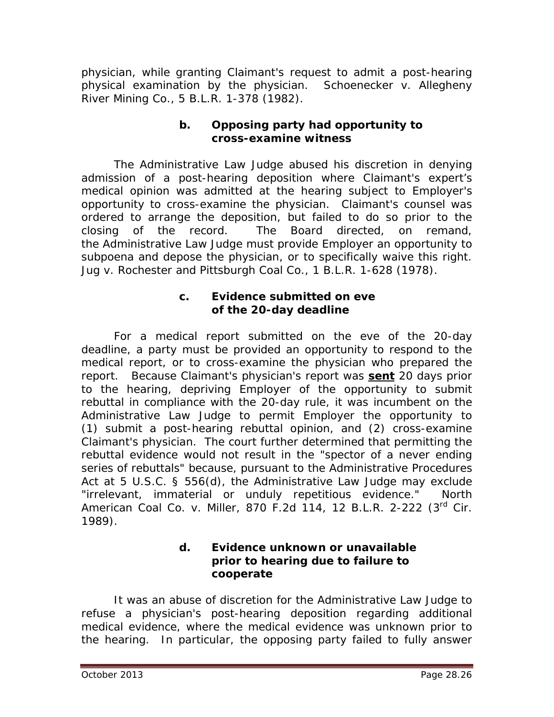physician, while granting Claimant's request to admit a post-hearing physical examination by the physician. *Schoenecker v. Allegheny River Mining Co.*, 5 B.L.R. 1-378 (1982).

#### **b. Opposing party had opportunity to cross-examine witness**

The Administrative Law Judge abused his discretion in denying admission of a post-hearing deposition where Claimant's expert's medical opinion was admitted at the hearing subject to Employer's opportunity to cross-examine the physician. Claimant's counsel was ordered to arrange the deposition, but failed to do so prior to the closing of the record. The Board directed, on remand, the Administrative Law Judge must provide Employer an opportunity to subpoena and depose the physician, or to specifically waive this right. *Jug v. Rochester and Pittsburgh Coal Co.*, 1 B.L.R. 1-628 (1978).

#### **c. Evidence submitted on eve of the 20-day deadline**

For a medical report submitted on the eve of the 20-day deadline, a party must be provided an opportunity to respond to the medical report, or to cross-examine the physician who prepared the report. Because Claimant's physician's report was *sent* 20 days prior to the hearing, depriving Employer of the opportunity to submit rebuttal in compliance with the 20-day rule, it was incumbent on the Administrative Law Judge to permit Employer the opportunity to (1) submit a post-hearing rebuttal opinion, and (2) cross-examine Claimant's physician. The court further determined that permitting the rebuttal evidence would not result in the "spector of a never ending series of rebuttals" because, pursuant to the Administrative Procedures Act at 5 U.S.C. § 556(d), the Administrative Law Judge may exclude "irrelevant, immaterial or unduly repetitious evidence." *North American Coal Co. v. Miller*, 870 F.2d 114, 12 B.L.R. 2-222 (3rd Cir. 1989).

#### **d. Evidence unknown or unavailable prior to hearing due to failure to cooperate**

It was an abuse of discretion for the Administrative Law Judge to refuse a physician's post-hearing deposition regarding additional medical evidence, where the medical evidence was unknown prior to the hearing. In particular, the opposing party failed to fully answer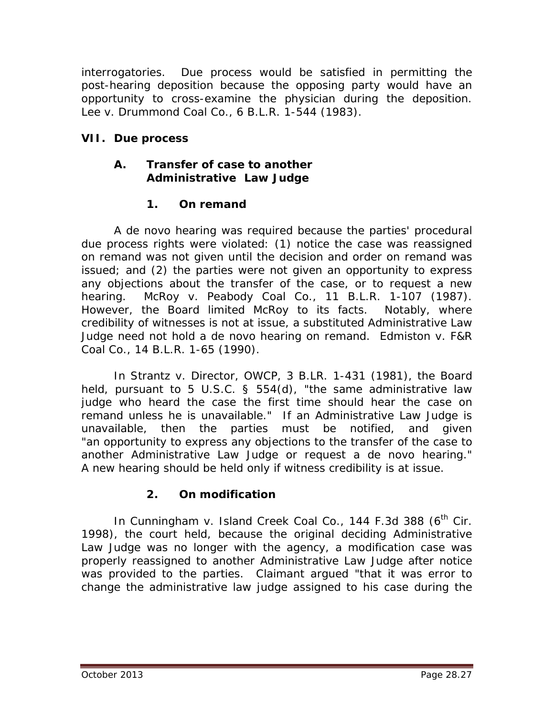interrogatories. Due process would be satisfied in permitting the post-hearing deposition because the opposing party would have an opportunity to cross-examine the physician during the deposition. *Lee v. Drummond Coal Co.*, 6 B.L.R. 1-544 (1983).

## **VII. Due process**

#### **A. Transfer of case to another Administrative Law Judge**

## **1. On remand**

A *de novo* hearing was required because the parties' procedural due process rights were violated: (1) notice the case was reassigned on remand was not given until the decision and order on remand was issued; and (2) the parties were not given an opportunity to express any objections about the transfer of the case, or to request a new hearing. *McRoy v. Peabody Coal Co.*, 11 B.L.R. 1-107 (1987). However, the Board limited *McRoy* to its facts. Notably, where credibility of witnesses is not at issue, a substituted Administrative Law Judge need not hold a *de novo* hearing on remand. *Edmiston v. F&R Coal Co.*, 14 B.L.R. 1-65 (1990).

In *Strantz v. Director, OWCP*, 3 B.LR. 1-431 (1981), the Board held, pursuant to 5 U.S.C. § 554(d), "the same administrative law judge who heard the case the first time should hear the case on remand unless he is unavailable." If an Administrative Law Judge is unavailable, then the parties must be notified, and given "an opportunity to express any objections to the transfer of the case to another Administrative Law Judge or request a *de novo* hearing." A new hearing should be held only if witness credibility is at issue.

# **2. On modification**

In *Cunningham v. Island Creek Coal Co.*, 144 F.3d 388 (6<sup>th</sup> Cir. 1998), the court held, because the original deciding Administrative Law Judge was no longer with the agency, a modification case was properly reassigned to another Administrative Law Judge after notice was provided to the parties. Claimant argued "that it was error to change the administrative law judge assigned to his case during the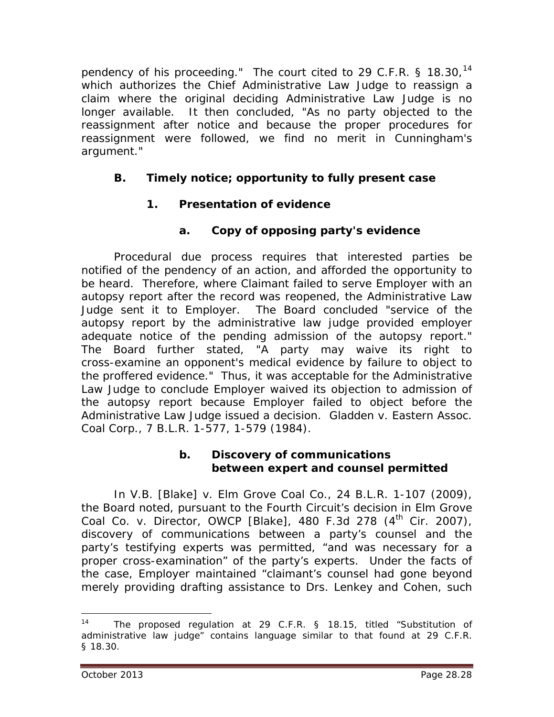pendency of his proceeding." The court cited to 29 C.F.R. § 18.30,<sup>[14](#page-27-0)</sup> which authorizes the Chief Administrative Law Judge to reassign a claim where the original deciding Administrative Law Judge is no longer available. It then concluded, "As no party objected to the reassignment after notice and because the proper procedures for reassignment were followed, we find no merit in Cunningham's argument."

## **B. Timely notice; opportunity to fully present case**

## **1. Presentation of evidence**

## **a. Copy of opposing party's evidence**

Procedural due process requires that interested parties be notified of the pendency of an action, and afforded the opportunity to be heard. Therefore, where Claimant failed to serve Employer with an autopsy report after the record was reopened, the Administrative Law Judge sent it to Employer. The Board concluded "service of the autopsy report by the administrative law judge provided employer adequate notice of the pending admission of the autopsy report." The Board further stated, "A party may waive its right to cross-examine an opponent's medical evidence by failure to object to the proffered evidence." Thus, it was acceptable for the Administrative Law Judge to conclude Employer waived its objection to admission of the autopsy report because Employer failed to object before the Administrative Law Judge issued a decision. *Gladden v. Eastern Assoc. Coal Corp.*, 7 B.L.R. 1-577, 1-579 (1984).

#### **b. Discovery of communications between expert and counsel permitted**

In *V.B. [Blake] v. Elm Grove Coal Co.*, 24 B.L.R. 1-107 (2009), the Board noted, pursuant to the Fourth Circuit's decision in *Elm Grove Coal Co. v. Director, OWCP [Blake]*, 480 F.3d 278 (4<sup>th</sup> Cir. 2007), discovery of communications between a party's counsel and the party's testifying experts was permitted, "and was necessary for a proper cross-examination" of the party's experts. Under the facts of the case, Employer maintained "claimant's counsel had gone beyond merely providing drafting assistance to Drs. Lenkey and Cohen, such

<span id="page-27-0"></span>The proposed regulation at 29 C.F.R. § 18.15, titled "Substitution of administrative law judge" contains language similar to that found at 29 C.F.R. § 18.30.  $14$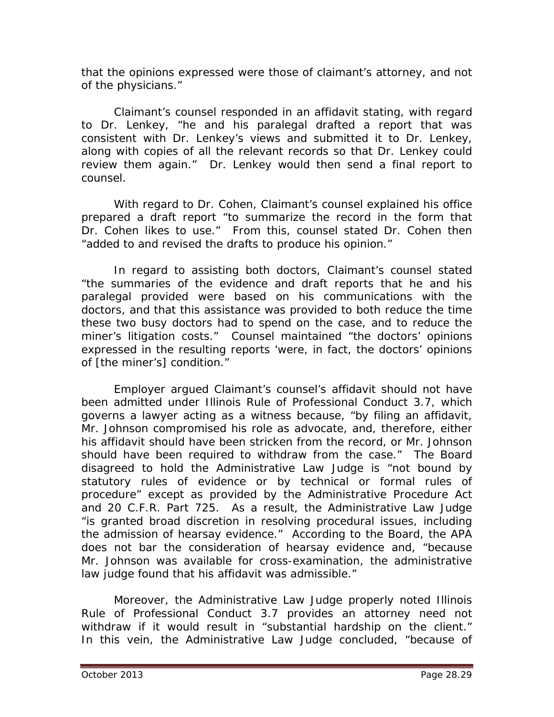that the opinions expressed were those of claimant's attorney, and not of the physicians."

Claimant's counsel responded in an affidavit stating, with regard to Dr. Lenkey, "he and his paralegal drafted a report that was consistent with Dr. Lenkey's views and submitted it to Dr. Lenkey, along with copies of all the relevant records so that Dr. Lenkey could review them again." Dr. Lenkey would then send a final report to counsel.

With regard to Dr. Cohen, Claimant's counsel explained his office prepared a draft report "to summarize the record in the form that Dr. Cohen likes to use." From this, counsel stated Dr. Cohen then "added to and revised the drafts to produce his opinion."

In regard to assisting both doctors, Claimant's counsel stated "the summaries of the evidence and draft reports that he and his paralegal provided were based on his communications with the doctors, and that this assistance was provided to both reduce the time these two busy doctors had to spend on the case, and to reduce the miner's litigation costs." Counsel maintained "the doctors' opinions expressed in the resulting reports 'were, in fact, the doctors' opinions of [the miner's] condition."

Employer argued Claimant's counsel's affidavit should not have been admitted under Illinois Rule of Professional Conduct 3.7, which governs a lawyer acting as a witness because, "by filing an affidavit, Mr. Johnson compromised his role as advocate, and, therefore, either his affidavit should have been stricken from the record, or Mr. Johnson should have been required to withdraw from the case." The Board disagreed to hold the Administrative Law Judge is "not bound by statutory rules of evidence or by technical or formal rules of procedure" except as provided by the Administrative Procedure Act and 20 C.F.R. Part 725. As a result, the Administrative Law Judge "is granted broad discretion in resolving procedural issues, including the admission of hearsay evidence." According to the Board, the APA does not bar the consideration of hearsay evidence and, "because Mr. Johnson was available for cross-examination, the administrative law judge found that his affidavit was admissible."

Moreover, the Administrative Law Judge properly noted Illinois Rule of Professional Conduct 3.7 provides an attorney need not withdraw if it would result in "substantial hardship on the client." In this vein, the Administrative Law Judge concluded, "because of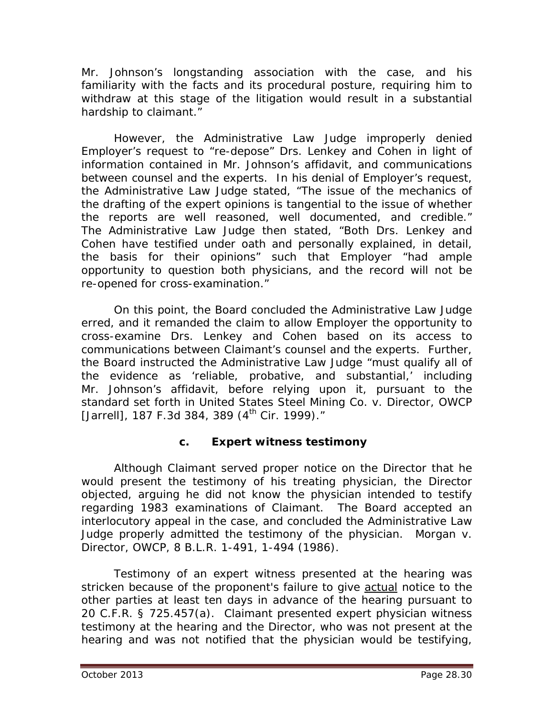Mr. Johnson's longstanding association with the case, and his familiarity with the facts and its procedural posture, requiring him to withdraw at this stage of the litigation would result in a substantial hardship to claimant."

However, the Administrative Law Judge improperly denied Employer's request to "re-depose" Drs. Lenkey and Cohen in light of information contained in Mr. Johnson's affidavit, and communications between counsel and the experts. In his denial of Employer's request, the Administrative Law Judge stated, "The issue of the mechanics of the drafting of the expert opinions is tangential to the issue of whether the reports are well reasoned, well documented, and credible." The Administrative Law Judge then stated, "Both Drs. Lenkey and Cohen have testified under oath and personally explained, in detail, the basis for their opinions" such that Employer "had ample opportunity to question both physicians, and the record will not be re-opened for cross-examination."

On this point, the Board concluded the Administrative Law Judge erred, and it remanded the claim to allow Employer the opportunity to cross-examine Drs. Lenkey and Cohen based on its access to communications between Claimant's counsel and the experts. Further, the Board instructed the Administrative Law Judge "must qualify all of the evidence as 'reliable, probative, and substantial,' including Mr. Johnson's affidavit, before relying upon it, pursuant to the standard set forth in *United States Steel Mining Co. v. Director, OWCP*  [Jarrell], 187 F.3d 384, 389 (4<sup>th</sup> Cir. 1999)."

## **c. Expert witness testimony**

Although Claimant served proper notice on the Director that he would present the testimony of his treating physician, the Director objected, arguing he did not know the physician intended to testify regarding 1983 examinations of Claimant. The Board accepted an interlocutory appeal in the case, and concluded the Administrative Law Judge properly admitted the testimony of the physician. *Morgan v. Director, OWCP*, 8 B.L.R. 1-491, 1-494 (1986).

Testimony of an expert witness presented at the hearing was stricken because of the proponent's failure to give actual notice to the other parties at least ten days in advance of the hearing pursuant to 20 C.F.R. § 725.457(a). Claimant presented expert physician witness testimony at the hearing and the Director, who was not present at the hearing and was not notified that the physician would be testifying,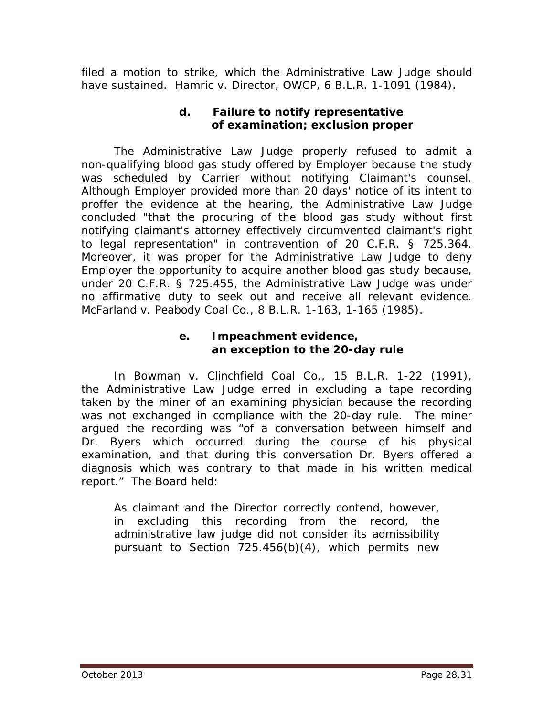filed a motion to strike, which the Administrative Law Judge should have sustained. *Hamric v. Director, OWCP*, 6 B.L.R. 1-1091 (1984).

## **d. Failure to notify representative of examination; exclusion proper**

The Administrative Law Judge properly refused to admit a non-qualifying blood gas study offered by Employer because the study was scheduled by Carrier without notifying Claimant's counsel. Although Employer provided more than 20 days' notice of its intent to proffer the evidence at the hearing, the Administrative Law Judge concluded "that the procuring of the blood gas study without first notifying claimant's attorney effectively circumvented claimant's right to legal representation" in contravention of 20 C.F.R. § 725.364. Moreover, it was proper for the Administrative Law Judge to deny Employer the opportunity to acquire another blood gas study because, under 20 C.F.R. § 725.455, the Administrative Law Judge was under no affirmative duty to seek out and receive all relevant evidence. *McFarland v. Peabody Coal Co.*, 8 B.L.R. 1-163, 1-165 (1985).

#### **e. Impeachment evidence, an exception to the 20-day rule**

In *Bowman v. Clinchfield Coal Co.*, 15 B.L.R. 1-22 (1991), the Administrative Law Judge erred in excluding a tape recording taken by the miner of an examining physician because the recording was not exchanged in compliance with the 20-day rule. The miner argued the recording was "of a conversation between himself and Dr. Byers which occurred during the course of his physical examination, and that during this conversation Dr. Byers offered a diagnosis which was contrary to that made in his written medical report." The Board held:

As claimant and the Director correctly contend, however, in excluding this recording from the record, the administrative law judge did not consider its admissibility pursuant to Section 725.456(b)(4), which permits new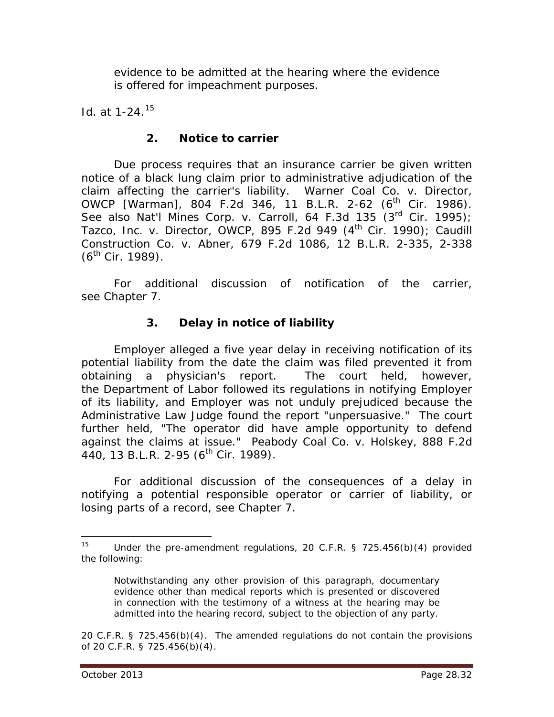evidence to be admitted at the hearing where the evidence is offered for impeachment purposes.

*Id.* at 1-24.[15](#page-31-0)

#### **2. Notice to carrier**

Due process requires that an insurance carrier be given written notice of a black lung claim prior to administrative adjudication of the claim affecting the carrier's liability. *Warner Coal Co. v. Director, OWCP* [Warman], 804 F.2d 346, 11 B.L.R. 2-62 (6<sup>th</sup> Cir. 1986). *See also Nat'l Mines Corp. v. Carroll*, 64 F.3d 135 (3rd Cir. 1995); *Tazco, Inc. v. Director, OWCP*, 895 F.2d 949 (4th Cir. 1990); *Caudill Construction Co. v. Abner*, 679 F.2d 1086, 12 B.L.R. 2-335, 2-338  $(6^{th}$  Cir. 1989).

For additional discussion of notification of the carrier, *see* Chapter 7.

## **3. Delay in notice of liability**

Employer alleged a five year delay in receiving notification of its potential liability from the date the claim was filed prevented it from obtaining a physician's report. The court held, however, the Department of Labor followed its regulations in notifying Employer of its liability, and Employer was not unduly prejudiced because the Administrative Law Judge found the report "unpersuasive." The court further held, "The operator did have ample opportunity to defend against the claims at issue." *Peabody Coal Co. v. Holskey*, 888 F.2d 440, 13 B.L.R. 2-95 ( $6^{th}$  Cir. 1989).

For additional discussion of the consequences of a delay in notifying a potential responsible operator or carrier of liability, or losing parts of a record, *see* Chapter 7.

<span id="page-31-0"></span>Under the pre-amendment regulations, 20 C.F.R. § 725.456(b)(4) provided the following:  $15<sup>15</sup>$ 

Notwithstanding any other provision of this paragraph, documentary evidence other than medical reports which is presented or discovered in connection with the testimony of a witness at the hearing may be admitted into the hearing record, subject to the objection of any party.

<sup>20</sup> C.F.R. § 725.456(b)(4). The amended regulations do not contain the provisions of 20 C.F.R. § 725.456(b)(4).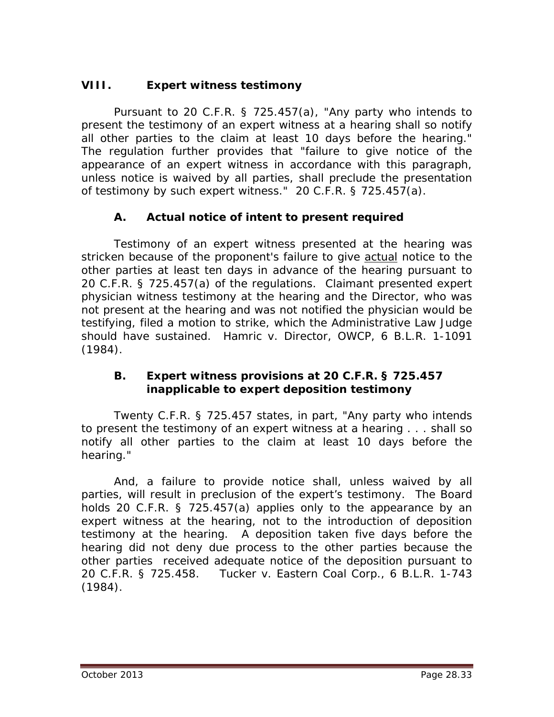## **VIII. Expert witness testimony**

Pursuant to 20 C.F.R. § 725.457(a), "Any party who intends to present the testimony of an expert witness at a hearing shall so notify all other parties to the claim at least 10 days before the hearing." The regulation further provides that "failure to give notice of the appearance of an expert witness in accordance with this paragraph, unless notice is waived by all parties, shall preclude the presentation of testimony by such expert witness." 20 C.F.R. § 725.457(a).

## **A. Actual notice of intent to present required**

Testimony of an expert witness presented at the hearing was stricken because of the proponent's failure to give actual notice to the other parties at least ten days in advance of the hearing pursuant to 20 C.F.R. § 725.457(a) of the regulations. Claimant presented expert physician witness testimony at the hearing and the Director, who was not present at the hearing and was not notified the physician would be testifying, filed a motion to strike, which the Administrative Law Judge should have sustained. *Hamric v. Director, OWCP*, 6 B.L.R. 1-1091 (1984).

#### **B. Expert witness provisions at 20 C.F.R. § 725.457 inapplicable to expert deposition testimony**

Twenty C.F.R. § 725.457 states, in part, "Any party who intends to present the testimony of an expert witness at a hearing . . . shall so notify all other parties to the claim at least 10 days before the hearing."

And, a failure to provide notice shall, unless waived by all parties, will result in preclusion of the expert's testimony. The Board holds 20 C.F.R. § 725.457(a) applies only to the appearance by an expert witness at the hearing, not to the introduction of deposition testimony at the hearing. A deposition taken five days before the hearing did not deny due process to the other parties because the other parties received adequate notice of the deposition pursuant to 20 C.F.R. § 725.458. *Tucker v. Eastern Coal Corp.*, 6 B.L.R. 1-743 (1984).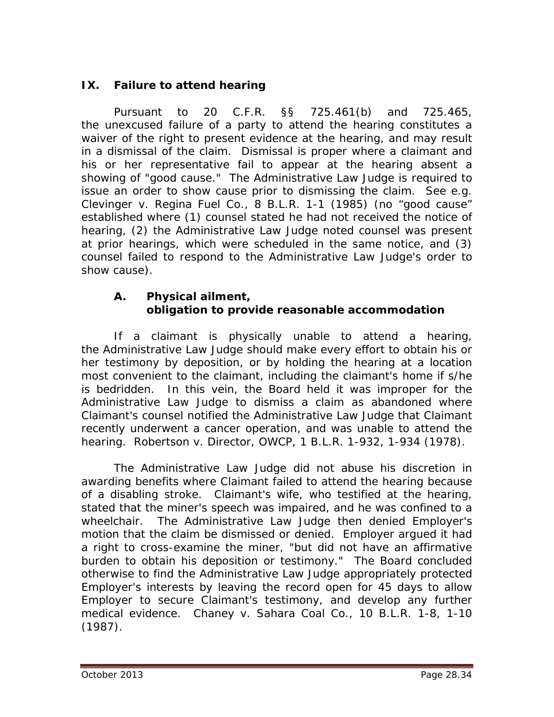# **IX. Failure to attend hearing**

Pursuant to 20 C.F.R. §§ 725.461(b) and 725.465, the unexcused failure of a party to attend the hearing constitutes a waiver of the right to present evidence at the hearing, and may result in a dismissal of the claim. Dismissal is proper where a claimant and his or her representative fail to appear at the hearing absent a showing of "good cause." The Administrative Law Judge is required to issue an order to show cause prior to dismissing the claim. *See e.g. Clevinger v. Regina Fuel Co.*, 8 B.L.R. 1-1 (1985) (no "good cause" established where (1) counsel stated he had not received the notice of hearing, (2) the Administrative Law Judge noted counsel was present at prior hearings, which were scheduled in the same notice, and (3) counsel failed to respond to the Administrative Law Judge's order to show cause).

## **A. Physical ailment, obligation to provide reasonable accommodation**

If a claimant is physically unable to attend a hearing, the Administrative Law Judge should make every effort to obtain his or her testimony by deposition, or by holding the hearing at a location most convenient to the claimant, including the claimant's home if s/he is bedridden. In this vein, the Board held it was improper for the Administrative Law Judge to dismiss a claim as abandoned where Claimant's counsel notified the Administrative Law Judge that Claimant recently underwent a cancer operation, and was unable to attend the hearing. *Robertson v. Director, OWCP*, 1 B.L.R. 1-932, 1-934 (1978).

The Administrative Law Judge did not abuse his discretion in awarding benefits where Claimant failed to attend the hearing because of a disabling stroke. Claimant's wife, who testified at the hearing, stated that the miner's speech was impaired, and he was confined to a wheelchair. The Administrative Law Judge then denied Employer's motion that the claim be dismissed or denied. Employer argued it had a right to cross-examine the miner, "but did not have an affirmative burden to obtain his deposition or testimony." The Board concluded otherwise to find the Administrative Law Judge appropriately protected Employer's interests by leaving the record open for 45 days to allow Employer to secure Claimant's testimony, and develop any further medical evidence. *Chaney v. Sahara Coal Co.*, 10 B.L.R. 1-8, 1-10 (1987).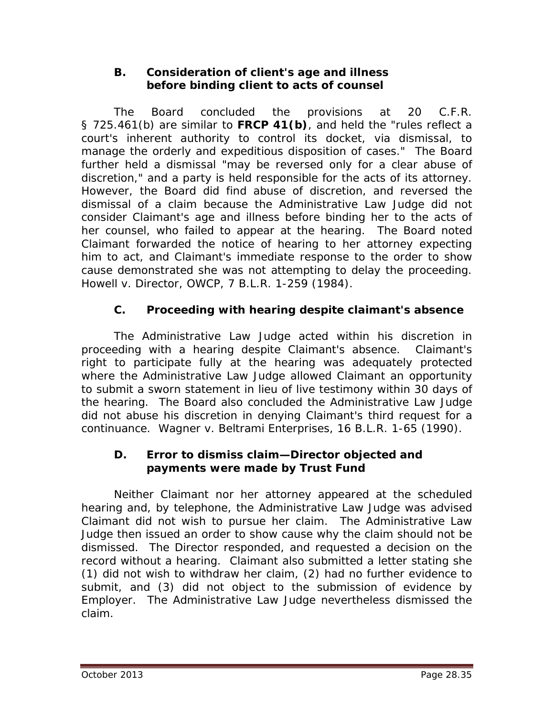## **B. Consideration of client's age and illness before binding client to acts of counsel**

The Board concluded the provisions at 20 C.F.R. § 725.461(b) are similar to **FRCP 41(b)**, and held the "rules reflect a court's inherent authority to control its docket, via dismissal, to manage the orderly and expeditious disposition of cases." The Board further held a dismissal "may be reversed only for a clear abuse of discretion," and a party is held responsible for the acts of its attorney. However, the Board did find abuse of discretion, and reversed the dismissal of a claim because the Administrative Law Judge did not consider Claimant's age and illness before binding her to the acts of her counsel, who failed to appear at the hearing. The Board noted Claimant forwarded the notice of hearing to her attorney expecting him to act, and Claimant's immediate response to the order to show cause demonstrated she was not attempting to delay the proceeding. *Howell v. Director, OWCP*, 7 B.L.R. 1-259 (1984).

# **C. Proceeding with hearing despite claimant's absence**

The Administrative Law Judge acted within his discretion in proceeding with a hearing despite Claimant's absence. Claimant's right to participate fully at the hearing was adequately protected where the Administrative Law Judge allowed Claimant an opportunity to submit a sworn statement in lieu of live testimony within 30 days of the hearing. The Board also concluded the Administrative Law Judge did not abuse his discretion in denying Claimant's third request for a continuance. *Wagner v. Beltrami Enterprises*, 16 B.L.R. 1-65 (1990).

#### **D. Error to dismiss claim—Director objected and payments were made by Trust Fund**

Neither Claimant nor her attorney appeared at the scheduled hearing and, by telephone, the Administrative Law Judge was advised Claimant did not wish to pursue her claim. The Administrative Law Judge then issued an order to show cause why the claim should not be dismissed. The Director responded, and requested a decision on the record without a hearing. Claimant also submitted a letter stating she (1) did not wish to withdraw her claim, (2) had no further evidence to submit, and (3) did not object to the submission of evidence by Employer. The Administrative Law Judge nevertheless dismissed the claim.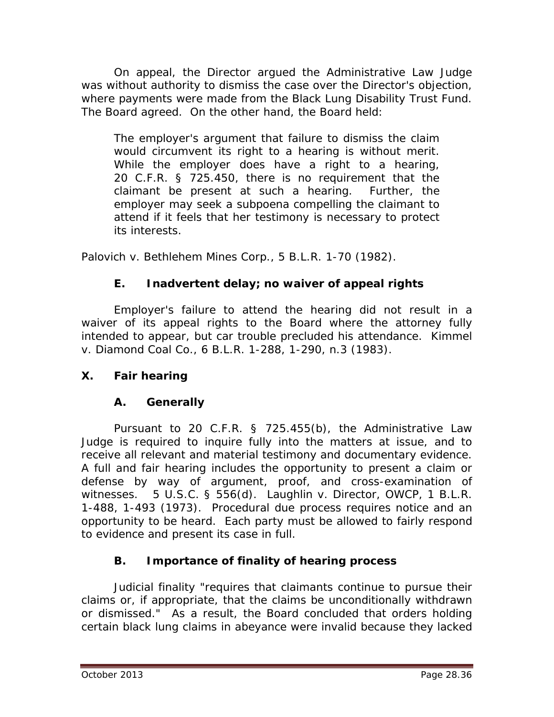On appeal, the Director argued the Administrative Law Judge was without authority to dismiss the case over the Director's objection, where payments were made from the Black Lung Disability Trust Fund. The Board agreed. On the other hand, the Board held:

The employer's argument that failure to dismiss the claim would circumvent its right to a hearing is without merit. While the employer does have a right to a hearing, 20 C.F.R. § 725.450, there is no requirement that the claimant be present at such a hearing. Further, the employer may seek a subpoena compelling the claimant to attend if it feels that her testimony is necessary to protect its interests.

*Palovich v. Bethlehem Mines Corp.*, 5 B.L.R. 1-70 (1982).

# **E. Inadvertent delay; no waiver of appeal rights**

Employer's failure to attend the hearing did not result in a waiver of its appeal rights to the Board where the attorney fully intended to appear, but car trouble precluded his attendance. *Kimmel v. Diamond Coal Co.*, 6 B.L.R. 1-288, 1-290, n.3 (1983).

# **X. Fair hearing**

# **A. Generally**

Pursuant to 20 C.F.R. § 725.455(b), the Administrative Law Judge is required to inquire fully into the matters at issue, and to receive all relevant and material testimony and documentary evidence. A full and fair hearing includes the opportunity to present a claim or defense by way of argument, proof, and cross-examination of witnesses. 5 U.S.C. § 556(d). *Laughlin v. Director, OWCP*, 1 B.L.R. 1-488, 1-493 (1973). Procedural due process requires notice and an opportunity to be heard. Each party must be allowed to fairly respond to evidence and present its case in full.

# **B. Importance of finality of hearing process**

Judicial finality "requires that claimants continue to pursue their claims or, if appropriate, that the claims be unconditionally withdrawn or dismissed." As a result, the Board concluded that orders holding certain black lung claims in abeyance were invalid because they lacked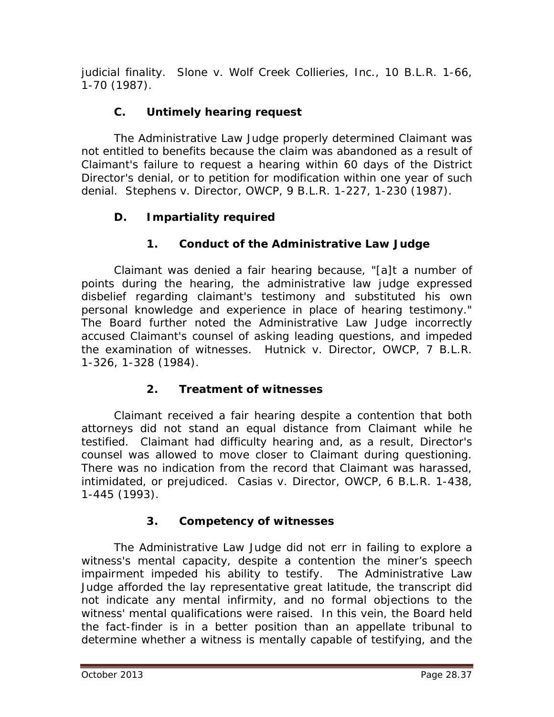judicial finality. *Slone v. Wolf Creek Collieries, Inc.*, 10 B.L.R. 1-66, 1-70 (1987).

# **C. Untimely hearing request**

The Administrative Law Judge properly determined Claimant was not entitled to benefits because the claim was abandoned as a result of Claimant's failure to request a hearing within 60 days of the District Director's denial, or to petition for modification within one year of such denial. *Stephens v. Director, OWCP*, 9 B.L.R. 1-227, 1-230 (1987).

# **D. Impartiality required**

# **1. Conduct of the Administrative Law Judge**

Claimant was denied a fair hearing because, "[a]t a number of points during the hearing, the administrative law judge expressed disbelief regarding claimant's testimony and substituted his own personal knowledge and experience in place of hearing testimony." The Board further noted the Administrative Law Judge incorrectly accused Claimant's counsel of asking leading questions, and impeded the examination of witnesses. *Hutnick v. Director, OWCP*, 7 B.L.R. 1-326, 1-328 (1984).

# **2. Treatment of witnesses**

Claimant received a fair hearing despite a contention that both attorneys did not stand an equal distance from Claimant while he testified. Claimant had difficulty hearing and, as a result, Director's counsel was allowed to move closer to Claimant during questioning. There was no indication from the record that Claimant was harassed, intimidated, or prejudiced. *Casias v. Director, OWCP*, 6 B.L.R. 1-438, 1-445 (1993).

# **3. Competency of witnesses**

The Administrative Law Judge did not err in failing to explore a witness's mental capacity, despite a contention the miner's speech impairment impeded his ability to testify. The Administrative Law Judge afforded the lay representative great latitude, the transcript did not indicate any mental infirmity, and no formal objections to the witness' mental qualifications were raised. In this vein, the Board held the fact-finder is in a better position than an appellate tribunal to determine whether a witness is mentally capable of testifying, and the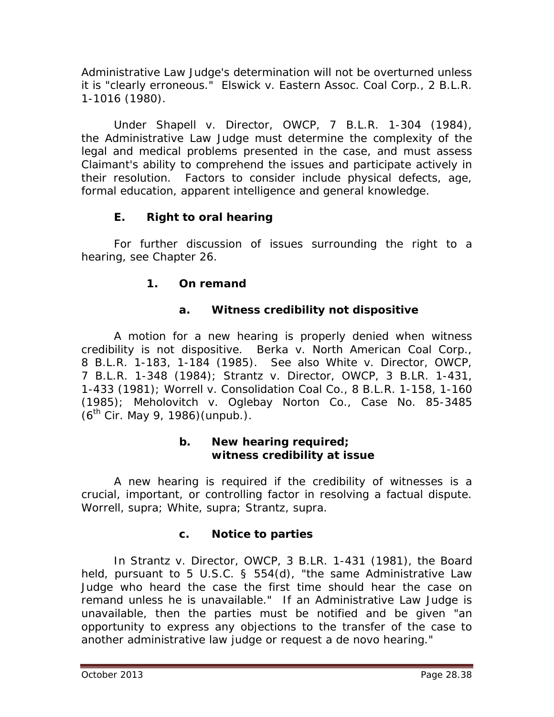Administrative Law Judge's determination will not be overturned unless it is "clearly erroneous." *Elswick v. Eastern Assoc. Coal Corp.*, 2 B.L.R. 1-1016 (1980).

Under *Shapell v. Director, OWCP*, 7 B.L.R. 1-304 (1984), the Administrative Law Judge must determine the complexity of the legal and medical problems presented in the case, and must assess Claimant's ability to comprehend the issues and participate actively in their resolution. Factors to consider include physical defects, age, formal education, apparent intelligence and general knowledge.

## **E. Right to oral hearing**

For further discussion of issues surrounding the right to a hearing, *see* Chapter 26.

## **1. On remand**

## **a. Witness credibility not dispositive**

A motion for a new hearing is properly denied when witness credibility is not dispositive. *Berka v. North American Coal Corp.*, 8 B.L.R. 1-183, 1-184 (1985). *See also White v. Director, OWCP*, 7 B.L.R. 1-348 (1984); *Strantz v. Director, OWCP*, 3 B.LR. 1-431, 1-433 (1981); *Worrell v. Consolidation Coal Co.*, 8 B.L.R. 1-158, 1-160 (1985); *Meholovitch v. Oglebay Norton Co.*, Case No. 85-3485  $(6^{th}$  Cir. May 9, 1986) (unpub.).

#### **b. New hearing required; witness credibility at issue**

A new hearing is required if the credibility of witnesses is a crucial, important, or controlling factor in resolving a factual dispute. *Worrell, supra; White, supra; Strantz, supra.*

## **c. Notice to parties**

In *Strantz v. Director, OWCP*, 3 B.LR. 1-431 (1981), the Board held, pursuant to 5 U.S.C. § 554(d), "the same Administrative Law Judge who heard the case the first time should hear the case on remand unless he is unavailable." If an Administrative Law Judge is unavailable, then the parties must be notified and be given "an opportunity to express any objections to the transfer of the case to another administrative law judge or request a *de novo* hearing."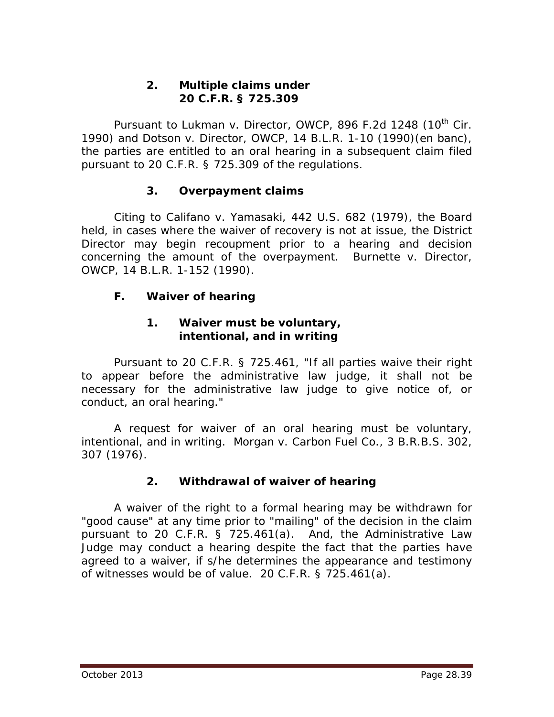#### **2. Multiple claims under 20 C.F.R. § 725.309**

Pursuant to *Lukman v. Director, OWCP*, 896 F.2d 1248 (10<sup>th</sup> Cir. 1990) and *Dotson v. Director, OWCP*, 14 B.L.R. 1-10 (1990)(en banc), the parties are entitled to an oral hearing in a subsequent claim filed pursuant to 20 C.F.R. § 725.309 of the regulations.

## **3. Overpayment claims**

Citing to *Califano v. Yamasaki*, 442 U.S. 682 (1979), the Board held, in cases where the waiver of recovery is not at issue, the District Director may begin recoupment prior to a hearing and decision concerning the amount of the overpayment. *Burnette v. Director, OWCP*, 14 B.L.R. 1-152 (1990).

## **F. Waiver of hearing**

#### **1. Waiver must be voluntary, intentional, and in writing**

Pursuant to 20 C.F.R. § 725.461, "If all parties waive their right to appear before the administrative law judge, it shall not be necessary for the administrative law judge to give notice of, or conduct, an oral hearing."

A request for waiver of an oral hearing must be voluntary, intentional, and in writing. *Morgan v. Carbon Fuel Co.*, 3 B.R.B.S. 302, 307 (1976).

# **2. Withdrawal of waiver of hearing**

A waiver of the right to a formal hearing may be withdrawn for "good cause" at any time prior to "mailing" of the decision in the claim pursuant to 20 C.F.R. § 725.461(a). And, the Administrative Law Judge may conduct a hearing despite the fact that the parties have agreed to a waiver, if s/he determines the appearance and testimony of witnesses would be of value. 20 C.F.R. § 725.461(a).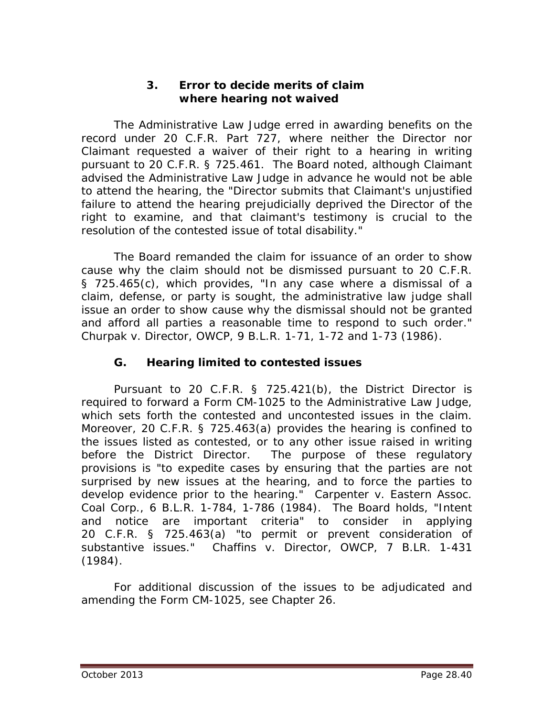#### **3. Error to decide merits of claim where hearing not waived**

The Administrative Law Judge erred in awarding benefits on the record under 20 C.F.R. Part 727, where neither the Director nor Claimant requested a waiver of their right to a hearing in writing pursuant to 20 C.F.R. § 725.461. The Board noted, although Claimant advised the Administrative Law Judge in advance he would not be able to attend the hearing, the "Director submits that Claimant's unjustified failure to attend the hearing prejudicially deprived the Director of the right to examine, and that claimant's testimony is crucial to the resolution of the contested issue of total disability."

The Board remanded the claim for issuance of an order to show cause why the claim should not be dismissed pursuant to 20 C.F.R. § 725.465(c), which provides, "In any case where a dismissal of a claim, defense, or party is sought, the administrative law judge shall issue an order to show cause why the dismissal should not be granted and afford all parties a reasonable time to respond to such order." *Churpak v. Director, OWCP*, 9 B.L.R. 1-71, 1-72 and 1-73 (1986).

## **G. Hearing limited to contested issues**

Pursuant to 20 C.F.R. § 725.421(b), the District Director is required to forward a Form CM-1025 to the Administrative Law Judge, which sets forth the contested and uncontested issues in the claim. Moreover, 20 C.F.R. § 725.463(a) provides the hearing is confined to the issues listed as contested, or to any other issue raised in writing before the District Director. The purpose of these regulatory provisions is "to expedite cases by ensuring that the parties are not surprised by new issues at the hearing, and to force the parties to develop evidence prior to the hearing." *Carpenter v. Eastern Assoc. Coal Corp.*, 6 B.L.R. 1-784, 1-786 (1984). The Board holds, "Intent and notice are important criteria" to consider in applying 20 C.F.R. § 725.463(a) "to permit or prevent consideration of substantive issues." *Chaffins v. Director, OWCP*, 7 B.LR. 1-431 (1984).

For additional discussion of the issues to be adjudicated and amending the Form CM-1025, *see* Chapter 26.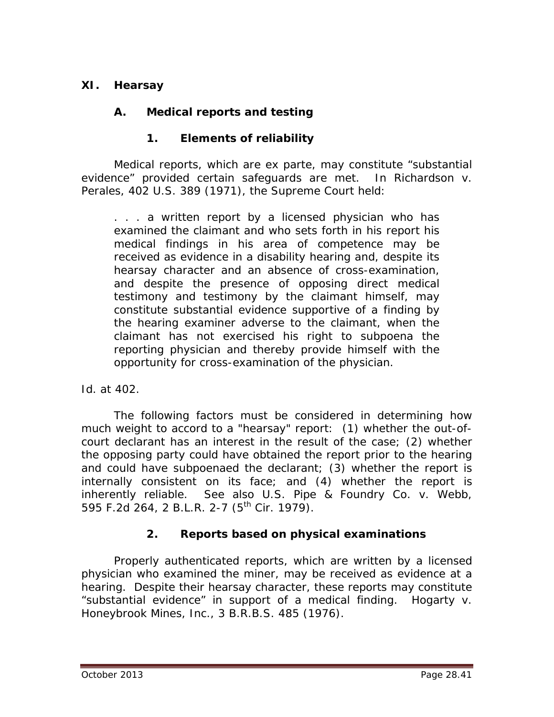## **XI. Hearsay**

## **A. Medical reports and testing**

## **1. Elements of reliability**

Medical reports, which are *ex parte*, may constitute "substantial evidence" provided certain safeguards are met. In *Richardson v. Perales*, 402 U.S. 389 (1971), the Supreme Court held:

. . . a written report by a licensed physician who has examined the claimant and who sets forth in his report his medical findings in his area of competence may be received as evidence in a disability hearing and, despite its hearsay character and an absence of cross-examination, and despite the presence of opposing direct medical testimony and testimony by the claimant himself, may constitute substantial evidence supportive of a finding by the hearing examiner adverse to the claimant, when the claimant has not exercised his right to subpoena the reporting physician and thereby provide himself with the opportunity for cross-examination of the physician.

#### *Id.* at 402.

The following factors must be considered in determining how much weight to accord to a "hearsay" report: (1) whether the out-ofcourt declarant has an interest in the result of the case; (2) whether the opposing party could have obtained the report prior to the hearing and could have subpoenaed the declarant; (3) whether the report is internally consistent on its face; and (4) whether the report is inherently reliable. *See also U.S. Pipe & Foundry Co. v. Webb*, 595 F.2d 264, 2 B.L.R. 2-7 (5<sup>th</sup> Cir. 1979).

## **2. Reports based on physical examinations**

Properly authenticated reports, which are written by a licensed physician who examined the miner, may be received as evidence at a hearing. Despite their hearsay character, these reports may constitute "substantial evidence" in support of a medical finding. *Hogarty v. Honeybrook Mines, Inc.*, 3 B.R.B.S. 485 (1976).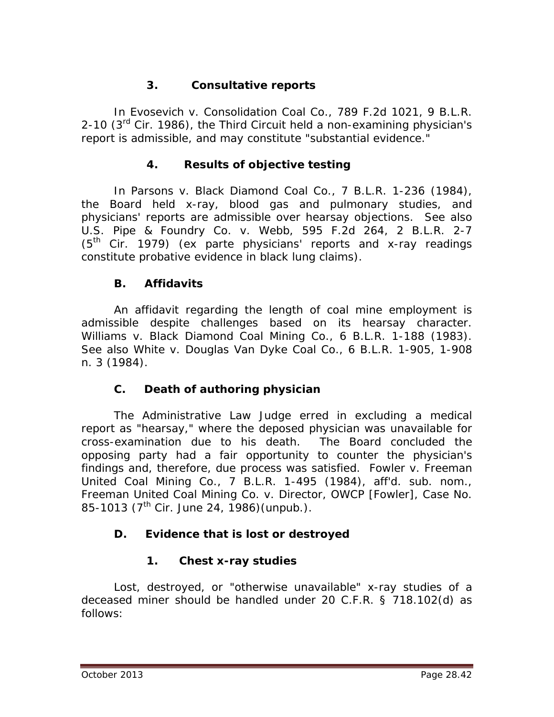# **3. Consultative reports**

In *Evosevich v. Consolidation Coal Co.*, 789 F.2d 1021, 9 B.L.R. 2-10  $(3<sup>rd</sup>$  Cir. 1986), the Third Circuit held a non-examining physician's report is admissible, and may constitute "substantial evidence."

## **4. Results of objective testing**

In *Parsons v. Black Diamond Coal Co.*, 7 B.L.R. 1-236 (1984), the Board held x-ray, blood gas and pulmonary studies, and physicians' reports are admissible over hearsay objections. *See also U.S. Pipe & Foundry Co. v. Webb*, 595 F.2d 264, 2 B.L.R. 2-7 (5th Cir. 1979) (*ex parte* physicians' reports and x-ray readings constitute probative evidence in black lung claims).

## **B. Affidavits**

An affidavit regarding the length of coal mine employment is admissible despite challenges based on its hearsay character. *Williams v. Black Diamond Coal Mining Co.*, 6 B.L.R. 1-188 (1983). *See also White v. Douglas Van Dyke Coal Co.*, 6 B.L.R. 1-905, 1-908 n. 3 (1984).

## **C. Death of authoring physician**

The Administrative Law Judge erred in excluding a medical report as "hearsay," where the deposed physician was unavailable for cross-examination due to his death. The Board concluded the opposing party had a fair opportunity to counter the physician's findings and, therefore, due process was satisfied. *Fowler v. Freeman United Coal Mining Co.*, 7 B.L.R. 1-495 (1984), *aff'd. sub. nom.*, *Freeman United Coal Mining Co. v. Director, OWCP [Fowler]*, Case No. 85-1013 ( $7^{\text{th}}$  Cir. June 24, 1986) (unpub.).

# **D. Evidence that is lost or destroyed**

# **1. Chest x-ray studies**

Lost, destroyed, or "otherwise unavailable" x-ray studies of a deceased miner should be handled under 20 C.F.R. § 718.102(d) as follows: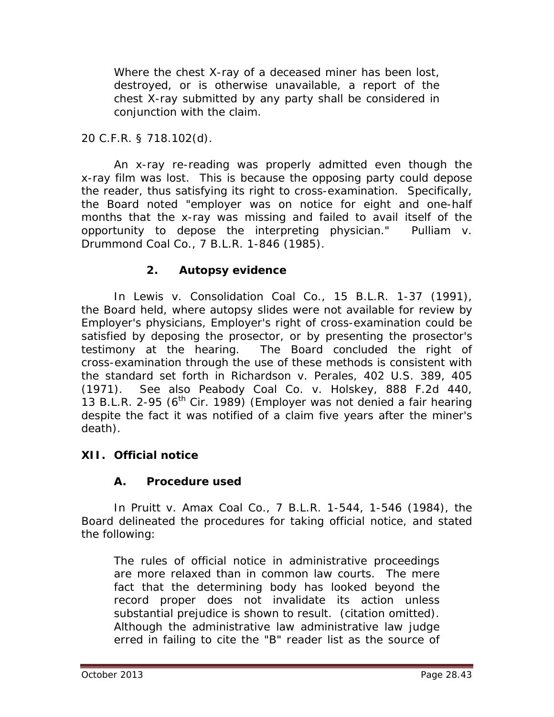Where the chest X-ray of a deceased miner has been lost, destroyed, or is otherwise unavailable, a report of the chest X-ray submitted by any party shall be considered in conjunction with the claim.

## 20 C.F.R. § 718.102(d).

An x-ray re-reading was properly admitted even though the x-ray film was lost. This is because the opposing party could depose the reader, thus satisfying its right to cross-examination. Specifically, the Board noted "employer was on notice for eight and one-half months that the x-ray was missing and failed to avail itself of the opportunity to depose the interpreting physician." *Pulliam v. Drummond Coal Co.*, 7 B.L.R. 1-846 (1985).

#### **2. Autopsy evidence**

In *Lewis v. Consolidation Coal Co.*, 15 B.L.R. 1-37 (1991), the Board held, where autopsy slides were not available for review by Employer's physicians, Employer's right of cross-examination could be satisfied by deposing the prosector, or by presenting the prosector's testimony at the hearing. The Board concluded the right of cross-examination through the use of these methods is consistent with the standard set forth in *Richardson v. Perales*, 402 U.S. 389, 405 (1971). *See also Peabody Coal Co. v. Holskey*, 888 F.2d 440, 13 B.L.R. 2-95 ( $6<sup>th</sup>$  Cir. 1989) (Employer was not denied a fair hearing despite the fact it was notified of a claim five years after the miner's death).

## **XII. Official notice**

## **A. Procedure used**

In *Pruitt v. Amax Coal Co.*, 7 B.L.R. 1-544, 1-546 (1984), the Board delineated the procedures for taking official notice, and stated the following:

The rules of official notice in administrative proceedings are more relaxed than in common law courts. The mere fact that the determining body has looked beyond the record proper does not invalidate its action unless substantial prejudice is shown to result. (citation omitted). Although the administrative law administrative law judge erred in failing to cite the "B" reader list as the source of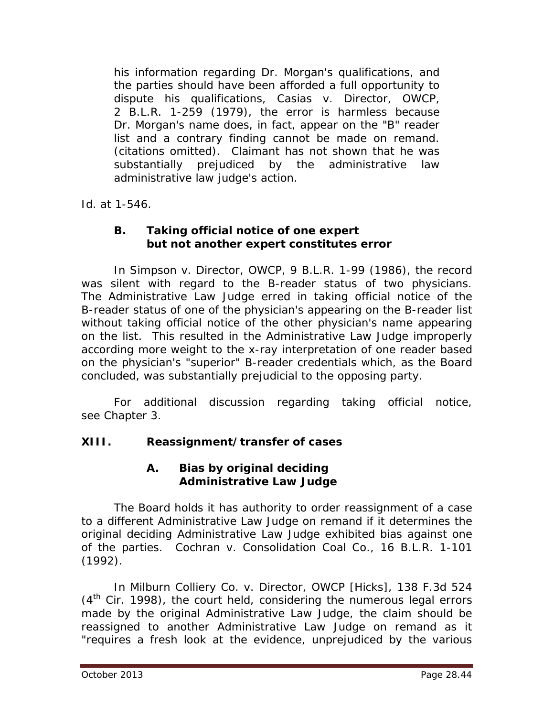his information regarding Dr. Morgan's qualifications, and the parties should have been afforded a full opportunity to dispute his qualifications, *Casias v. Director, OWCP*, 2 B.L.R. 1-259 (1979), the error is harmless because Dr. Morgan's name does, in fact, appear on the "B" reader list and a contrary finding cannot be made on remand. (citations omitted). Claimant has not shown that he was substantially prejudiced by the administrative law administrative law judge's action.

*Id.* at 1-546.

## **B. Taking official notice of one expert but not another expert constitutes error**

In *Simpson v. Director, OWCP*, 9 B.L.R. 1-99 (1986), the record was silent with regard to the B-reader status of two physicians. The Administrative Law Judge erred in taking official notice of the B-reader status of one of the physician's appearing on the B-reader list without taking official notice of the other physician's name appearing on the list. This resulted in the Administrative Law Judge improperly according more weight to the x-ray interpretation of one reader based on the physician's "superior" B-reader credentials which, as the Board concluded, was substantially prejudicial to the opposing party.

For additional discussion regarding taking official notice, *see* Chapter 3.

# **XIII. Reassignment/transfer of cases**

## **A. Bias by original deciding Administrative Law Judge**

The Board holds it has authority to order reassignment of a case to a different Administrative Law Judge on remand if it determines the original deciding Administrative Law Judge exhibited bias against one of the parties. *Cochran v. Consolidation Coal Co.*, 16 B.L.R. 1-101 (1992).

In *Milburn Colliery Co. v. Director, OWCP [Hicks]*, 138 F.3d 524 (4<sup>th</sup> Cir. 1998), the court held, considering the numerous legal errors made by the original Administrative Law Judge, the claim should be reassigned to another Administrative Law Judge on remand as it "requires a fresh look at the evidence, unprejudiced by the various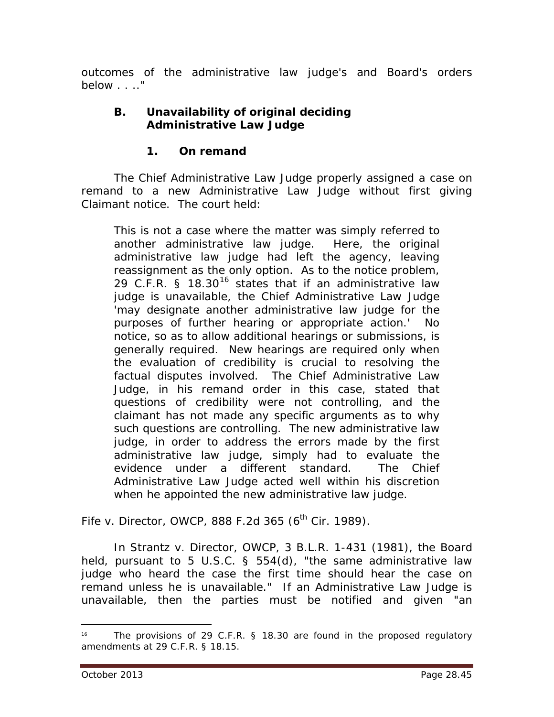outcomes of the administrative law judge's and Board's orders below . . .."

## **B. Unavailability of original deciding Administrative Law Judge**

## **1. On remand**

The Chief Administrative Law Judge properly assigned a case on remand to a new Administrative Law Judge without first giving Claimant notice. The court held:

This is not a case where the matter was simply referred to another administrative law judge. Here, the original administrative law judge had left the agency, leaving reassignment as the only option. As to the notice problem, 29 C.F.R. § 18.30<sup>[16](#page-44-0)</sup> states that if an administrative law judge is unavailable, the Chief Administrative Law Judge 'may designate another administrative law judge for the purposes of further hearing or appropriate action.' No notice, so as to allow additional hearings or submissions, is generally required. New hearings are required only when the evaluation of credibility is crucial to resolving the factual disputes involved. The Chief Administrative Law Judge, in his remand order in this case, stated that questions of credibility were not controlling, and the claimant has not made any specific arguments as to why such questions are controlling. The new administrative law judge, in order to address the errors made by the first administrative law judge, simply had to evaluate the evidence under a different standard. The Chief Administrative Law Judge acted well within his discretion when he appointed the new administrative law judge.

*Fife v. Director, OWCP*, 888 F.2d 365 (6<sup>th</sup> Cir. 1989).

In *Strantz v. Director, OWCP*, 3 B.L.R. 1-431 (1981), the Board held, pursuant to 5 U.S.C. § 554(d), "the same administrative law judge who heard the case the first time should hear the case on remand unless he is unavailable." If an Administrative Law Judge is unavailable, then the parties must be notified and given "an

<span id="page-44-0"></span><sup>&</sup>lt;sup>16</sup> The provisions of 29 C.F.R. § 18.30 are found in the proposed regulatory amendments at 29 C.F.R. § 18.15.  $\overline{a}$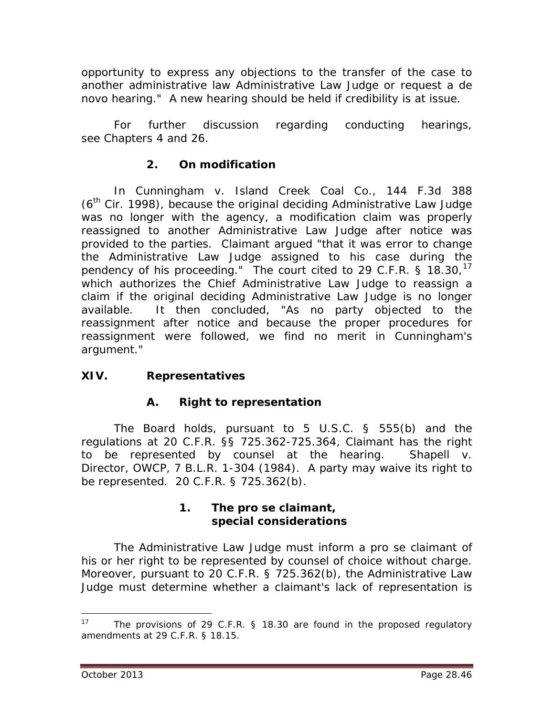opportunity to express any objections to the transfer of the case to another administrative law Administrative Law Judge or request a *de novo* hearing." A new hearing should be held if credibility is at issue.

For further discussion regarding conducting hearings, *see* Chapters 4 and 26.

## **2. On modification**

In *Cunningham v. Island Creek Coal Co.*, 144 F.3d 388 (6<sup>th</sup> Cir. 1998), because the original deciding Administrative Law Judge was no longer with the agency, a modification claim was properly reassigned to another Administrative Law Judge after notice was provided to the parties. Claimant argued "that it was error to change the Administrative Law Judge assigned to his case during the pendency of his proceeding." The court cited to 29 C.F.R. § 18.30,<sup>[17](#page-45-0)</sup> which authorizes the Chief Administrative Law Judge to reassign a claim if the original deciding Administrative Law Judge is no longer available. It then concluded, "As no party objected to the reassignment after notice and because the proper procedures for reassignment were followed, we find no merit in Cunningham's argument."

# **XIV. Representatives**

## **A. Right to representation**

The Board holds, pursuant to 5 U.S.C. § 555(b) and the regulations at 20 C.F.R. §§ 725.362-725.364, Claimant has the right to be represented by counsel at the hearing. *Shapell v. Director, OWCP*, 7 B.L.R. 1-304 (1984). A party may waive its right to be represented. 20 C.F.R. § 725.362(b).

#### **1. The** *pro se* **claimant, special considerations**

The Administrative Law Judge must inform a *pro se* claimant of his or her right to be represented by counsel of choice without charge. Moreover, pursuant to 20 C.F.R. § 725.362(b), the Administrative Law Judge must determine whether a claimant's lack of representation is

<span id="page-45-0"></span>The provisions of 29 C.F.R. § 18.30 are found in the proposed regulatory amendments at 29 C.F.R. § 18.15.  $17$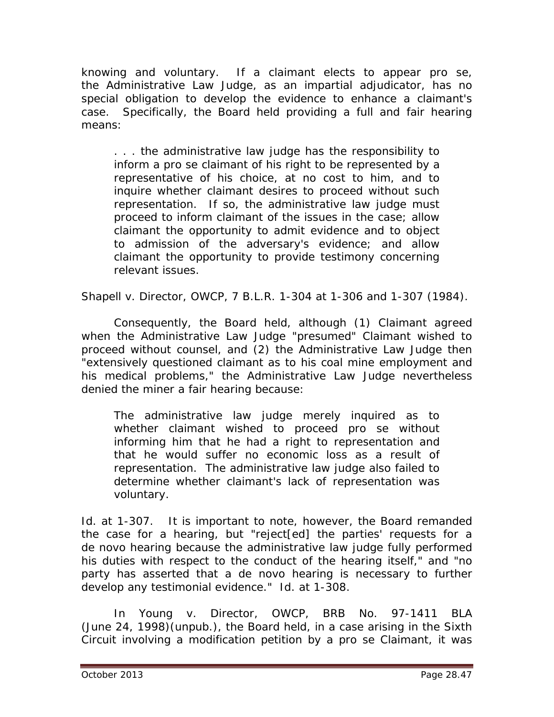knowing and voluntary. If a claimant elects to appear *pro se*, the Administrative Law Judge, as an impartial adjudicator, has no special obligation to develop the evidence to enhance a claimant's case. Specifically, the Board held providing a full and fair hearing means:

. . . the administrative law judge has the responsibility to inform a *pro se* claimant of his right to be represented by a representative of his choice, at no cost to him, and to inquire whether claimant desires to proceed without such representation. If so, the administrative law judge must proceed to inform claimant of the issues in the case; allow claimant the opportunity to admit evidence and to object to admission of the adversary's evidence; and allow claimant the opportunity to provide testimony concerning relevant issues.

*Shapell v. Director, OWCP*, 7 B.L.R. 1-304 at 1-306 and 1-307 (1984).

Consequently, the Board held, although (1) Claimant agreed when the Administrative Law Judge "presumed" Claimant wished to proceed without counsel, and (2) the Administrative Law Judge then "extensively questioned claimant as to his coal mine employment and his medical problems," the Administrative Law Judge nevertheless denied the miner a fair hearing because:

The administrative law judge merely inquired as to whether claimant wished to proceed *pro se* without informing him that he had a right to representation and that he would suffer no economic loss as a result of representation. The administrative law judge also failed to determine whether claimant's lack of representation was voluntary.

*Id.* at 1-307. It is important to note, however, the Board remanded the case for a hearing, but "reject[ed] the parties' requests for a *de novo* hearing because the administrative law judge fully performed his duties with respect to the conduct of the hearing itself," and "no party has asserted that a *de novo* hearing is necessary to further develop any testimonial evidence." *Id.* at 1-308.

In *Young v. Director, OWCP*, BRB No. 97-1411 BLA (June 24, 1998)(unpub.), the Board held, in a case arising in the Sixth Circuit involving a modification petition by a *pro se* Claimant, it was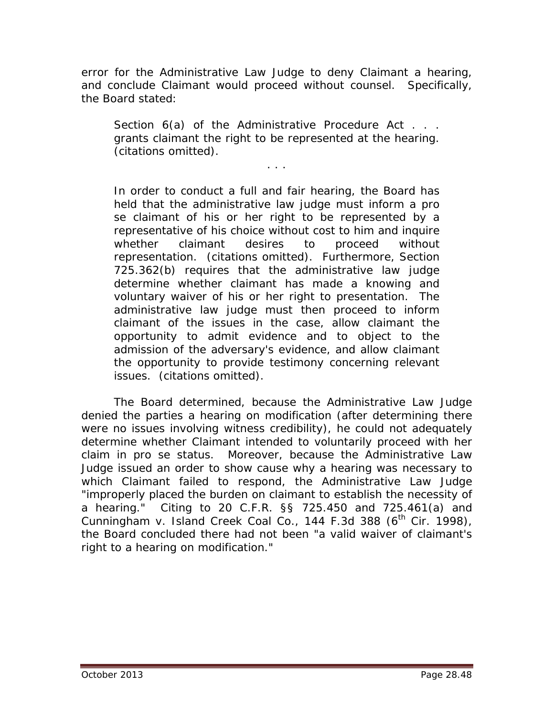error for the Administrative Law Judge to deny Claimant a hearing, and conclude Claimant would proceed without counsel. Specifically, the Board stated:

Section 6(a) of the Administrative Procedure Act . . . grants claimant the right to be represented at the hearing. (citations omitted).

. . .

In order to conduct a full and fair hearing, the Board has held that the administrative law judge must inform a *pro se* claimant of his or her right to be represented by a representative of his choice without cost to him and inquire whether claimant desires to proceed without representation. (citations omitted). Furthermore, Section 725.362(b) requires that the administrative law judge determine whether claimant has made a knowing and voluntary waiver of his or her right to presentation. The administrative law judge must then proceed to inform claimant of the issues in the case, allow claimant the opportunity to admit evidence and to object to the admission of the adversary's evidence, and allow claimant the opportunity to provide testimony concerning relevant issues. (citations omitted).

The Board determined, because the Administrative Law Judge denied the parties a hearing on modification (after determining there were no issues involving witness credibility), he could not adequately determine whether Claimant intended to voluntarily proceed with her claim in *pro se* status. Moreover, because the Administrative Law Judge issued an order to show cause why a hearing was necessary to which Claimant failed to respond, the Administrative Law Judge "improperly placed the burden on claimant to establish the necessity of a hearing." Citing to 20 C.F.R. §§ 725.450 and 725.461(a) and *Cunningham v. Island Creek Coal Co.*, 144 F.3d 388 (6<sup>th</sup> Cir. 1998), the Board concluded there had not been "a valid waiver of claimant's right to a hearing on modification."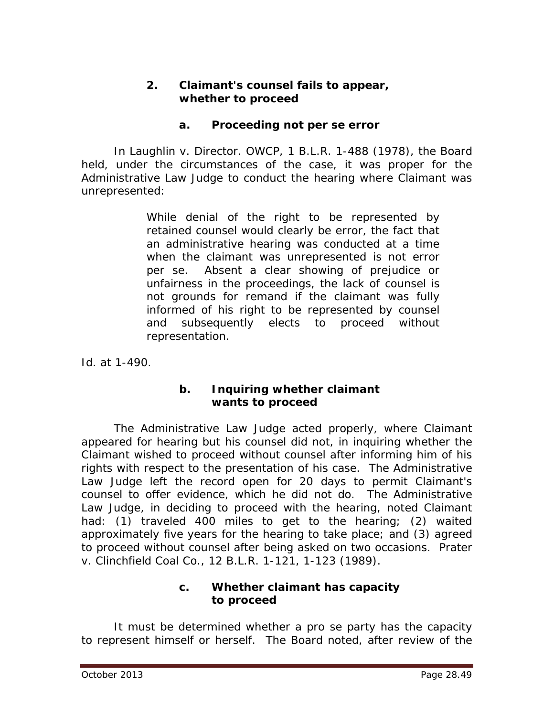#### **2. Claimant's counsel fails to appear, whether to proceed**

#### **a. Proceeding not** *per se* **error**

In *Laughlin v. Director. OWCP*, 1 B.L.R. 1-488 (1978), the Board held, under the circumstances of the case, it was proper for the Administrative Law Judge to conduct the hearing where Claimant was unrepresented:

> While denial of the right to be represented by retained counsel would clearly be error, the fact that an administrative hearing was conducted at a time when the claimant was unrepresented is not error *per se*. Absent a clear showing of prejudice or unfairness in the proceedings, the lack of counsel is not grounds for remand if the claimant was fully informed of his right to be represented by counsel and subsequently elects to proceed without representation.

*Id.* at 1-490.

#### **b. Inquiring whether claimant wants to proceed**

The Administrative Law Judge acted properly, where Claimant appeared for hearing but his counsel did not, in inquiring whether the Claimant wished to proceed without counsel after informing him of his rights with respect to the presentation of his case. The Administrative Law Judge left the record open for 20 days to permit Claimant's counsel to offer evidence, which he did not do. The Administrative Law Judge, in deciding to proceed with the hearing, noted Claimant had: (1) traveled 400 miles to get to the hearing; (2) waited approximately five years for the hearing to take place; and (3) agreed to proceed without counsel after being asked on two occasions. *Prater v. Clinchfield Coal Co.*, 12 B.L.R. 1-121, 1-123 (1989).

## **c. Whether claimant has capacity to proceed**

It must be determined whether a *pro se* party has the capacity to represent himself or herself. The Board noted, after review of the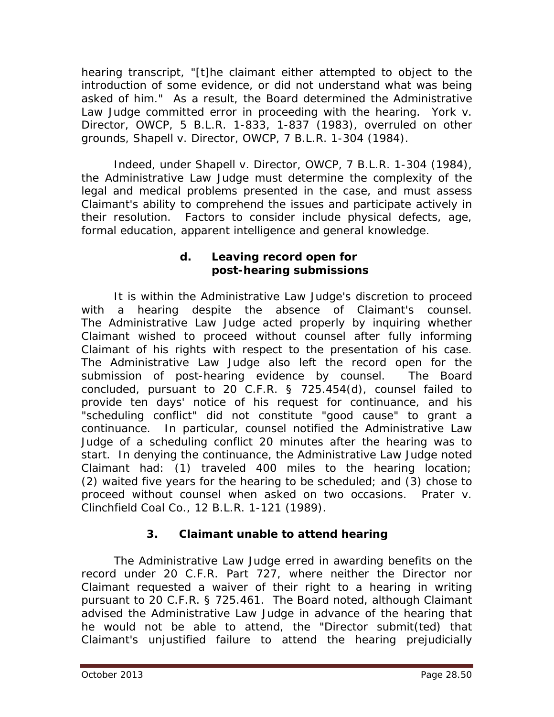hearing transcript, "[t]he claimant either attempted to object to the introduction of some evidence, or did not understand what was being asked of him." As a result, the Board determined the Administrative Law Judge committed error in proceeding with the hearing. *York v. Director, OWCP*, 5 B.L.R. 1-833, 1-837 (1983), *overruled on other grounds, Shapell v. Director, OWCP*, 7 B.L.R. 1-304 (1984).

Indeed, under *Shapell v. Director, OWCP*, 7 B.L.R. 1-304 (1984), the Administrative Law Judge must determine the complexity of the legal and medical problems presented in the case, and must assess Claimant's ability to comprehend the issues and participate actively in their resolution. Factors to consider include physical defects, age, formal education, apparent intelligence and general knowledge.

## **d. Leaving record open for post-hearing submissions**

It is within the Administrative Law Judge's discretion to proceed with a hearing despite the absence of Claimant's counsel. The Administrative Law Judge acted properly by inquiring whether Claimant wished to proceed without counsel after fully informing Claimant of his rights with respect to the presentation of his case. The Administrative Law Judge also left the record open for the submission of post-hearing evidence by counsel. The Board concluded, pursuant to 20 C.F.R. § 725.454(d), counsel failed to provide ten days' notice of his request for continuance, and his "scheduling conflict" did not constitute "good cause" to grant a continuance. In particular, counsel notified the Administrative Law Judge of a scheduling conflict 20 minutes after the hearing was to start. In denying the continuance, the Administrative Law Judge noted Claimant had: (1) traveled 400 miles to the hearing location; (2) waited five years for the hearing to be scheduled; and (3) chose to proceed without counsel when asked on two occasions. *Prater v. Clinchfield Coal Co.*, 12 B.L.R. 1-121 (1989).

# **3. Claimant unable to attend hearing**

The Administrative Law Judge erred in awarding benefits on the record under 20 C.F.R. Part 727, where neither the Director nor Claimant requested a waiver of their right to a hearing in writing pursuant to 20 C.F.R. § 725.461. The Board noted, although Claimant advised the Administrative Law Judge in advance of the hearing that he would not be able to attend, the "Director submit(ted) that Claimant's unjustified failure to attend the hearing prejudicially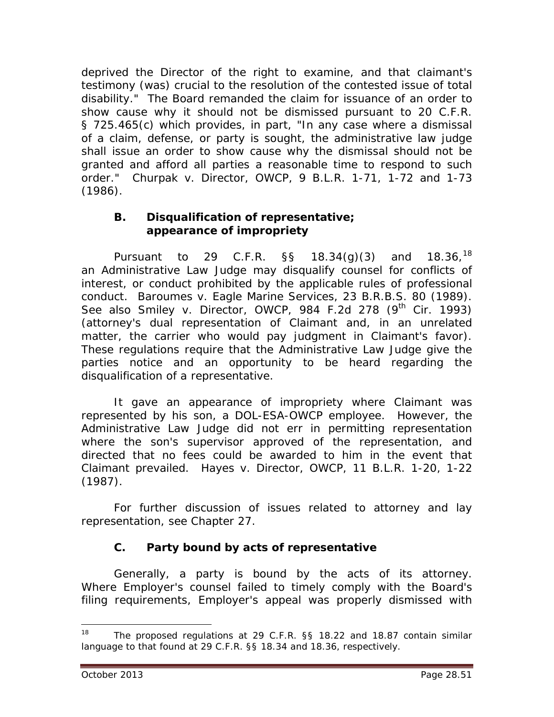deprived the Director of the right to examine, and that claimant's testimony (was) crucial to the resolution of the contested issue of total disability." The Board remanded the claim for issuance of an order to show cause why it should not be dismissed pursuant to 20 C.F.R. § 725.465(c) which provides, in part, "In any case where a dismissal of a claim, defense, or party is sought, the administrative law judge shall issue an order to show cause why the dismissal should not be granted and afford all parties a reasonable time to respond to such order." *Churpak v. Director, OWCP*, 9 B.L.R. 1-71, 1-72 and 1-73 (1986).

#### **B. Disqualification of representative; appearance of impropriety**

Pursuant to 29 C.F.R.  $\S$ § 18.34(g)(3) and  $18.36^{18}$  $18.36^{18}$ an Administrative Law Judge may disqualify counsel for conflicts of interest, or conduct prohibited by the applicable rules of professional conduct. *Baroumes v. Eagle Marine Services*, 23 B.R.B.S. 80 (1989). *See also Smiley v. Director, OWCP*, 984 F.2d 278 (9<sup>th</sup> Cir. 1993) (attorney's dual representation of Claimant and, in an unrelated matter, the carrier who would pay judgment in Claimant's favor). These regulations require that the Administrative Law Judge give the parties notice and an opportunity to be heard regarding the disqualification of a representative.

It gave an appearance of impropriety where Claimant was represented by his son, a DOL-ESA-OWCP employee. However, the Administrative Law Judge did not err in permitting representation where the son's supervisor approved of the representation, and directed that no fees could be awarded to him in the event that Claimant prevailed. *Hayes v. Director, OWCP*, 11 B.L.R. 1-20, 1-22 (1987).

For further discussion of issues related to attorney and lay representation, *see* Chapter 27.

# **C. Party bound by acts of representative**

Generally, a party is bound by the acts of its attorney. Where Employer's counsel failed to timely comply with the Board's filing requirements, Employer's appeal was properly dismissed with

<span id="page-50-0"></span><sup>&</sup>lt;sup>18</sup> The proposed regulations at 29 C.F.R. §§ 18.22 and 18.87 contain similar language to that found at 29 C.F.R. §§ 18.34 and 18.36, respectively.  $\overline{a}$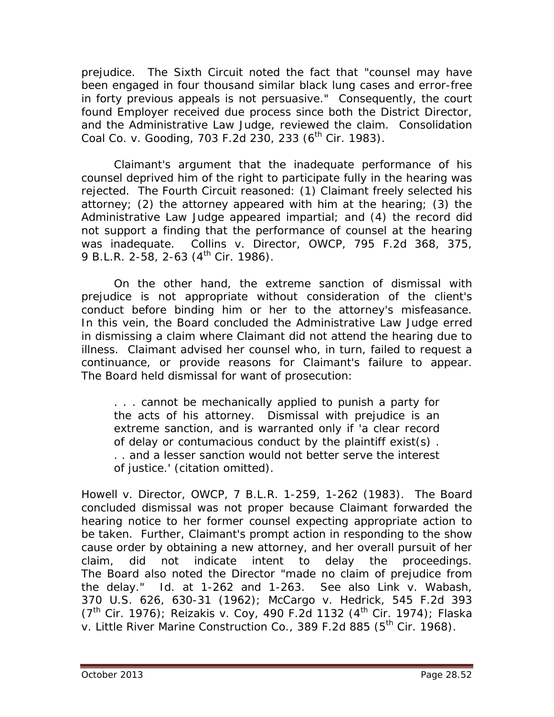prejudice. The Sixth Circuit noted the fact that "counsel may have been engaged in four thousand similar black lung cases and error-free in forty previous appeals is not persuasive." Consequently, the court found Employer received due process since both the District Director, and the Administrative Law Judge, reviewed the claim. *Consolidation Coal Co. v. Gooding, 703 F.2d 230, 233 (6<sup>th</sup> Cir. 1983).* 

Claimant's argument that the inadequate performance of his counsel deprived him of the right to participate fully in the hearing was rejected. The Fourth Circuit reasoned: (1) Claimant freely selected his attorney; (2) the attorney appeared with him at the hearing; (3) the Administrative Law Judge appeared impartial; and (4) the record did not support a finding that the performance of counsel at the hearing was inadequate. *Collins v. Director, OWCP*, 795 F.2d 368, 375, 9 B.L.R. 2-58, 2-63  $(4^{th}$  Cir. 1986).

On the other hand, the extreme sanction of dismissal with prejudice is not appropriate without consideration of the client's conduct before binding him or her to the attorney's misfeasance. In this vein, the Board concluded the Administrative Law Judge erred in dismissing a claim where Claimant did not attend the hearing due to illness. Claimant advised her counsel who, in turn, failed to request a continuance, or provide reasons for Claimant's failure to appear. The Board held dismissal for want of prosecution:

. . . cannot be mechanically applied to punish a party for the acts of his attorney. Dismissal with prejudice is an extreme sanction, and is warranted only if 'a clear record of delay or contumacious conduct by the plaintiff exist(s) . . . and a lesser sanction would not better serve the interest of justice.' (citation omitted).

*Howell v. Director, OWCP*, 7 B.L.R. 1-259, 1-262 (1983). The Board concluded dismissal was not proper because Claimant forwarded the hearing notice to her former counsel expecting appropriate action to be taken. Further, Claimant's prompt action in responding to the show cause order by obtaining a new attorney, and her overall pursuit of her claim, did not indicate intent to delay the proceedings. The Board also noted the Director "made no claim of prejudice from the delay." *Id*. at 1-262 and 1-263. *See also Link v. Wabash*, 370 U.S. 626, 630-31 (1962); *McCargo v. Hedrick*, 545 F.2d 393 (7th Cir. 1976); *Reizakis v. Coy*, 490 F.2d 1132 (4th Cir. 1974); *Flaska v. Little River Marine Construction Co.*, 389 F.2d 885 (5<sup>th</sup> Cir. 1968).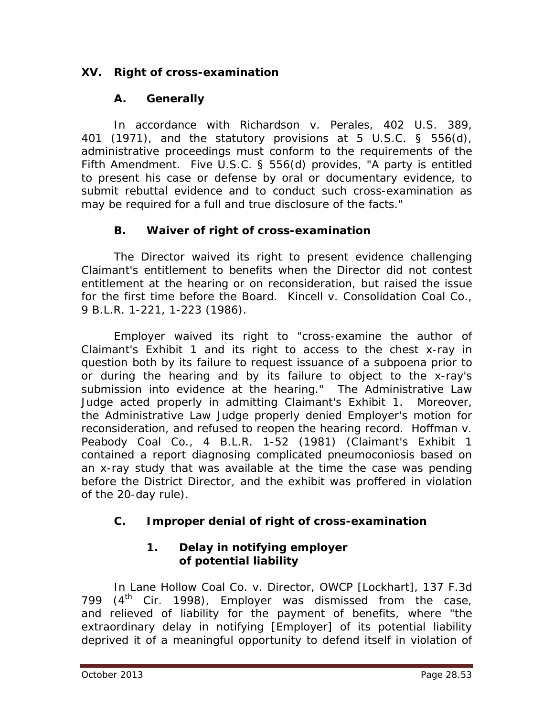# **XV. Right of cross-examination**

## **A. Generally**

In accordance with *Richardson v. Perales*, 402 U.S. 389, 401 (1971), and the statutory provisions at 5 U.S.C. § 556(d), administrative proceedings must conform to the requirements of the Fifth Amendment. Five U.S.C. § 556(d) provides, "A party is entitled to present his case or defense by oral or documentary evidence, to submit rebuttal evidence and to conduct such cross-examination as may be required for a full and true disclosure of the facts."

## **B. Waiver of right of cross-examination**

The Director waived its right to present evidence challenging Claimant's entitlement to benefits when the Director did not contest entitlement at the hearing or on reconsideration, but raised the issue for the first time before the Board. *Kincell v. Consolidation Coal Co.*, 9 B.L.R. 1-221, 1-223 (1986).

Employer waived its right to "cross-examine the author of Claimant's Exhibit 1 and its right to access to the chest x-ray in question both by its failure to request issuance of a subpoena prior to or during the hearing and by its failure to object to the x-ray's submission into evidence at the hearing." The Administrative Law Judge acted properly in admitting Claimant's Exhibit 1. Moreover, the Administrative Law Judge properly denied Employer's motion for reconsideration, and refused to reopen the hearing record. *Hoffman v. Peabody Coal Co.*, 4 B.L.R. 1-52 (1981) (Claimant's Exhibit 1 contained a report diagnosing complicated pneumoconiosis based on an x-ray study that was available at the time the case was pending before the District Director, and the exhibit was proffered in violation of the 20-day rule).

# **C. Improper denial of right of cross-examination**

# **1. Delay in notifying employer of potential liability**

In *Lane Hollow Coal Co. v. Director, OWCP [Lockhart]*, 137 F.3d 799  $(4<sup>th</sup>$  Cir. 1998), Employer was dismissed from the case, and relieved of liability for the payment of benefits, where "the extraordinary delay in notifying [Employer] of its potential liability deprived it of a meaningful opportunity to defend itself in violation of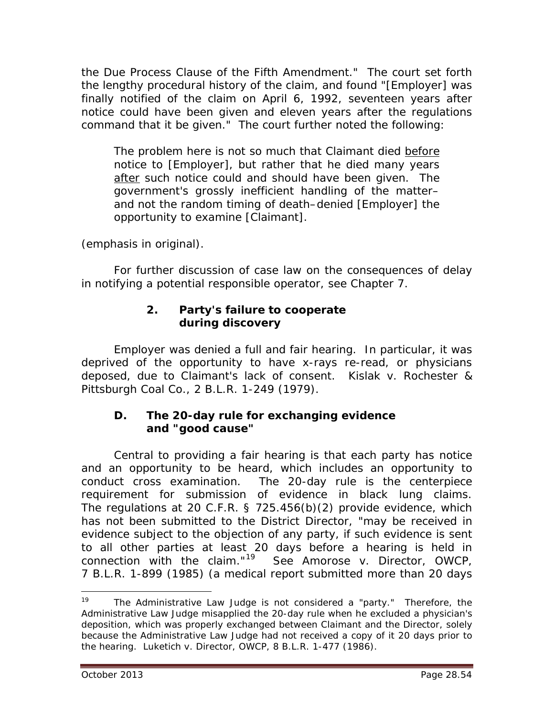the Due Process Clause of the Fifth Amendment." The court set forth the lengthy procedural history of the claim, and found "[Employer] was finally notified of the claim on April 6, 1992, seventeen years after notice could have been given and eleven years after the regulations command that it be given." The court further noted the following:

The problem here is not so much that Claimant died before notice to [Employer], but rather that he died many years after such notice could and should have been given. The government's grossly inefficient handling of the matter– and not the random timing of death–denied [Employer] the opportunity to examine [Claimant].

(emphasis in original).

For further discussion of case law on the consequences of delay in notifying a potential responsible operator, *see* Chapter 7.

## **2. Party's failure to cooperate during discovery**

Employer was denied a full and fair hearing. In particular, it was deprived of the opportunity to have x-rays re-read, or physicians deposed, due to Claimant's lack of consent. *Kislak v. Rochester & Pittsburgh Coal Co.*, 2 B.L.R. 1-249 (1979).

#### **D. The 20-day rule for exchanging evidence and "good cause"**

Central to providing a fair hearing is that each party has notice and an opportunity to be heard, which includes an opportunity to conduct cross examination. The 20-day rule is the centerpiece requirement for submission of evidence in black lung claims. The regulations at 20 C.F.R. § 725.456(b)(2) provide evidence, which has not been submitted to the District Director, "may be received in evidence subject to the objection of any party, if such evidence is sent to all other parties at least 20 days before a hearing is held in connection with the claim."[19](#page-53-0) *See Amorose v. Director, OWCP*, 7 B.L.R. 1-899 (1985) (a medical report submitted more than 20 days

<span id="page-53-0"></span>The Administrative Law Judge is not considered a "party." Therefore, the Administrative Law Judge misapplied the 20-day rule when he excluded a physician's deposition, which was properly exchanged between Claimant and the Director, solely because the Administrative Law Judge had not received a copy of it 20 days prior to the hearing. *Luketich v. Director, OWCP*, 8 B.L.R. 1-477 (1986). 19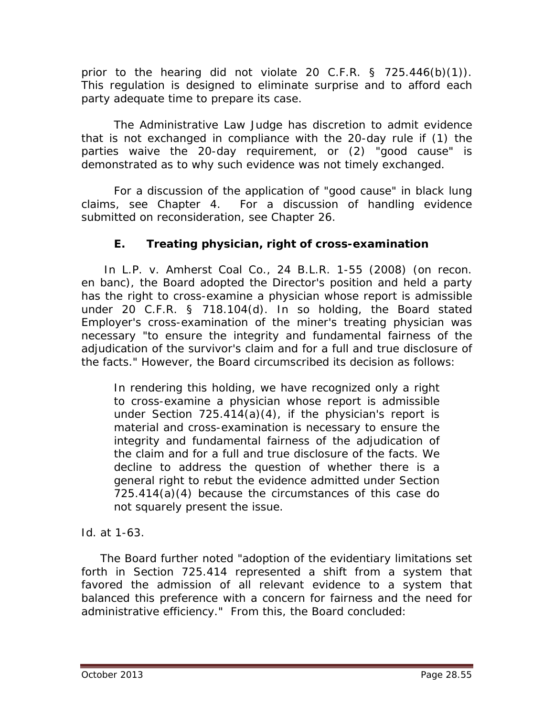prior to the hearing did not violate 20 C.F.R. § 725.446(b)(1)). This regulation is designed to eliminate surprise and to afford each party adequate time to prepare its case.

The Administrative Law Judge has discretion to admit evidence that is not exchanged in compliance with the 20-day rule if (1) the parties waive the 20-day requirement, or (2) "good cause" is demonstrated as to why such evidence was not timely exchanged.

For a discussion of the application of "good cause" in black lung claims, *see* Chapter 4. For a discussion of handling evidence submitted on reconsideration, *see* Chapter 26.

# **E. Treating physician, right of cross-examination**

 In *L.P. v. Amherst Coal Co.*, 24 B.L.R. 1-55 (2008) (on recon. en banc), the Board adopted the Director's position and held a party has the right to cross-examine a physician whose report is admissible under 20 C.F.R. § 718.104(d). In so holding, the Board stated Employer's cross-examination of the miner's treating physician was necessary "to ensure the integrity and fundamental fairness of the adjudication of the survivor's claim *and* for a full and true disclosure of the facts." However, the Board circumscribed its decision as follows:

In rendering this holding, we have recognized only a right to cross-examine a physician whose report is admissible under Section 725.414(a)(4), if the physician's report is material and cross-examination is necessary to ensure the integrity and fundamental fairness of the adjudication of the claim and for a full and true disclosure of the facts. We decline to address the question of whether there is a general right to rebut the evidence admitted under Section 725.414(a)(4) because the circumstances of this case do not squarely present the issue.

*Id.* at 1-63.

 The Board further noted "adoption of the evidentiary limitations set forth in Section 725.414 represented a shift from a system that favored the admission of all relevant evidence to a system that balanced this preference with a concern for fairness and the need for administrative efficiency." From this, the Board concluded: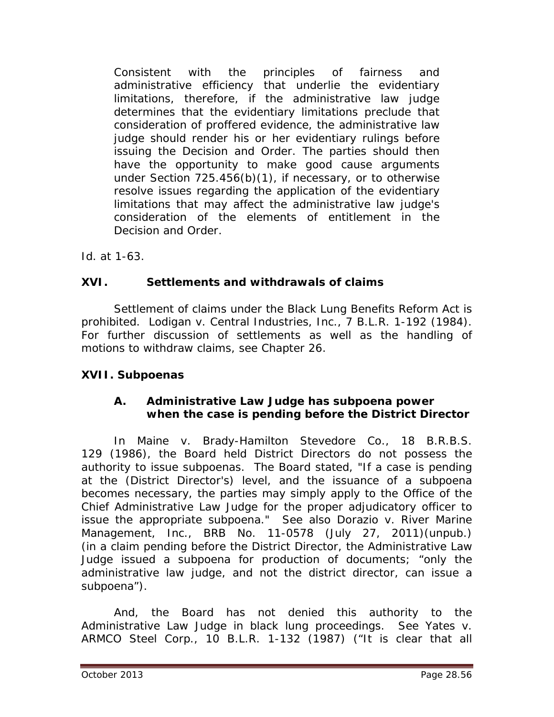Consistent with the principles of fairness and administrative efficiency that underlie the evidentiary limitations, therefore, if the administrative law judge determines that the evidentiary limitations preclude that consideration of proffered evidence, the administrative law judge should render his or her evidentiary rulings before issuing the Decision and Order. The parties should then have the opportunity to make good cause arguments under Section 725.456(b)(1), if necessary, or to otherwise resolve issues regarding the application of the evidentiary limitations that may affect the administrative law judge's consideration of the elements of entitlement in the Decision and Order.

*Id.* at 1-63.

## **XVI. Settlements and withdrawals of claims**

Settlement of claims under the Black Lung Benefits Reform Act is prohibited. *Lodigan v. Central Industries, Inc.*, 7 B.L.R. 1-192 (1984). For further discussion of settlements as well as the handling of motions to withdraw claims, *see* Chapter 26.

## **XVII. Subpoenas**

## **A. Administrative Law Judge has subpoena power when the case is pending before the District Director**

In *Maine v. Brady-Hamilton Stevedore Co.*, 18 B.R.B.S. 129 (1986), the Board held District Directors do not possess the authority to issue subpoenas. The Board stated, "If a case is pending at the (District Director's) level, and the issuance of a subpoena becomes necessary, the parties may simply apply to the Office of the Chief Administrative Law Judge for the proper adjudicatory officer to issue the appropriate subpoena." *See also Dorazio v. River Marine Management, Inc.*, BRB No. 11-0578 (July 27, 2011)(unpub.) (in a claim pending before the District Director, the Administrative Law Judge issued a subpoena for production of documents; "only the administrative law judge, and not the district director, can issue a subpoena").

And, the Board has not denied this authority to the Administrative Law Judge in black lung proceedings. *See Yates v. ARMCO Steel Corp.*, 10 B.L.R. 1-132 (1987) ("It is clear that all